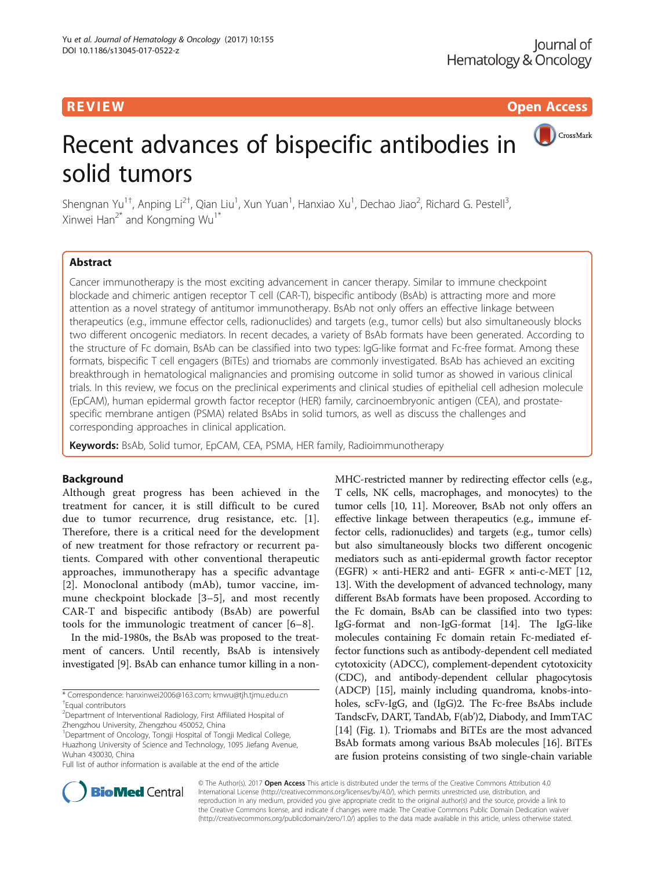**REVIEW CONSIDERING CONSIDERING CONSIDERING CONSIDERING CONSIDERING CONSIDERING CONSIDERING CONSIDERING CONSIDERING CONSIDERING CONSIDERING CONSIDERING CONSIDERING CONSIDERING CONSIDERING CONSIDERING CONSIDERING CONSIDER** 

CrossMark

# Recent advances of bispecific antibodies in solid tumors

Shengnan Yu<sup>1†</sup>, Anping Li<sup>2†</sup>, Qian Liu<sup>1</sup>, Xun Yuan<sup>1</sup>, Hanxiao Xu<sup>1</sup>, Dechao Jiao<sup>2</sup>, Richard G. Pestell<sup>3</sup> , Xinwei Han<sup>2\*</sup> and Kongming Wu<sup>1\*</sup>

# Abstract

Cancer immunotherapy is the most exciting advancement in cancer therapy. Similar to immune checkpoint blockade and chimeric antigen receptor T cell (CAR-T), bispecific antibody (BsAb) is attracting more and more attention as a novel strategy of antitumor immunotherapy. BsAb not only offers an effective linkage between therapeutics (e.g., immune effector cells, radionuclides) and targets (e.g., tumor cells) but also simultaneously blocks two different oncogenic mediators. In recent decades, a variety of BsAb formats have been generated. According to the structure of Fc domain, BsAb can be classified into two types: IgG-like format and Fc-free format. Among these formats, bispecific T cell engagers (BiTEs) and triomabs are commonly investigated. BsAb has achieved an exciting breakthrough in hematological malignancies and promising outcome in solid tumor as showed in various clinical trials. In this review, we focus on the preclinical experiments and clinical studies of epithelial cell adhesion molecule (EpCAM), human epidermal growth factor receptor (HER) family, carcinoembryonic antigen (CEA), and prostatespecific membrane antigen (PSMA) related BsAbs in solid tumors, as well as discuss the challenges and corresponding approaches in clinical application.

Keywords: BsAb, Solid tumor, EpCAM, CEA, PSMA, HER family, Radioimmunotherapy

## **Background**

Although great progress has been achieved in the treatment for cancer, it is still difficult to be cured due to tumor recurrence, drug resistance, etc. [[1](#page-11-0)]. Therefore, there is a critical need for the development of new treatment for those refractory or recurrent patients. Compared with other conventional therapeutic approaches, immunotherapy has a specific advantage [[2\]](#page-11-0). Monoclonal antibody (mAb), tumor vaccine, immune checkpoint blockade [\[3](#page-11-0)–[5](#page-11-0)], and most recently CAR-T and bispecific antibody (BsAb) are powerful tools for the immunologic treatment of cancer [[6](#page-11-0)–[8\]](#page-12-0).

In the mid-1980s, the BsAb was proposed to the treatment of cancers. Until recently, BsAb is intensively investigated [[9](#page-12-0)]. BsAb can enhance tumor killing in a non-

\* Correspondence: [hanxinwei2006@163.com](mailto:hanxinwei2006@163.com); [kmwu@tjh.tjmu.edu.cn](mailto:kmwu@tjh.tjmu.edu.cn) † Equal contributors

<sup>2</sup> Department of Interventional Radiology, First Affiliated Hospital of Zhengzhou University, Zhengzhou 450052, China

<sup>1</sup>Department of Oncology, Tongji Hospital of Tongji Medical College, Huazhong University of Science and Technology, 1095 Jiefang Avenue, Wuhan 430030, China

Full list of author information is available at the end of the article

MHC-restricted manner by redirecting effector cells (e.g., T cells, NK cells, macrophages, and monocytes) to the tumor cells [\[10](#page-12-0), [11\]](#page-12-0). Moreover, BsAb not only offers an effective linkage between therapeutics (e.g., immune effector cells, radionuclides) and targets (e.g., tumor cells) but also simultaneously blocks two different oncogenic mediators such as anti-epidermal growth factor receptor (EGFR)  $\times$  anti-HER2 and anti- EGFR  $\times$  anti-c-MET [[12](#page-12-0), [13](#page-12-0)]. With the development of advanced technology, many different BsAb formats have been proposed. According to the Fc domain, BsAb can be classified into two types: IgG-format and non-IgG-format [\[14\]](#page-12-0). The IgG-like molecules containing Fc domain retain Fc-mediated effector functions such as antibody-dependent cell mediated cytotoxicity (ADCC), complement-dependent cytotoxicity (CDC), and antibody-dependent cellular phagocytosis (ADCP) [[15\]](#page-12-0), mainly including quandroma, knobs-intoholes, scFv-IgG, and (IgG)2. The Fc-free BsAbs include TandscFv, DART, TandAb, F(ab')2, Diabody, and ImmTAC [[14](#page-12-0)] (Fig. [1\)](#page-1-0). Triomabs and BiTEs are the most advanced BsAb formats among various BsAb molecules [[16](#page-12-0)]. BiTEs are fusion proteins consisting of two single-chain variable



© The Author(s). 2017 **Open Access** This article is distributed under the terms of the Creative Commons Attribution 4.0 International License [\(http://creativecommons.org/licenses/by/4.0/](http://creativecommons.org/licenses/by/4.0/)), which permits unrestricted use, distribution, and reproduction in any medium, provided you give appropriate credit to the original author(s) and the source, provide a link to the Creative Commons license, and indicate if changes were made. The Creative Commons Public Domain Dedication waiver [\(http://creativecommons.org/publicdomain/zero/1.0/](http://creativecommons.org/publicdomain/zero/1.0/)) applies to the data made available in this article, unless otherwise stated.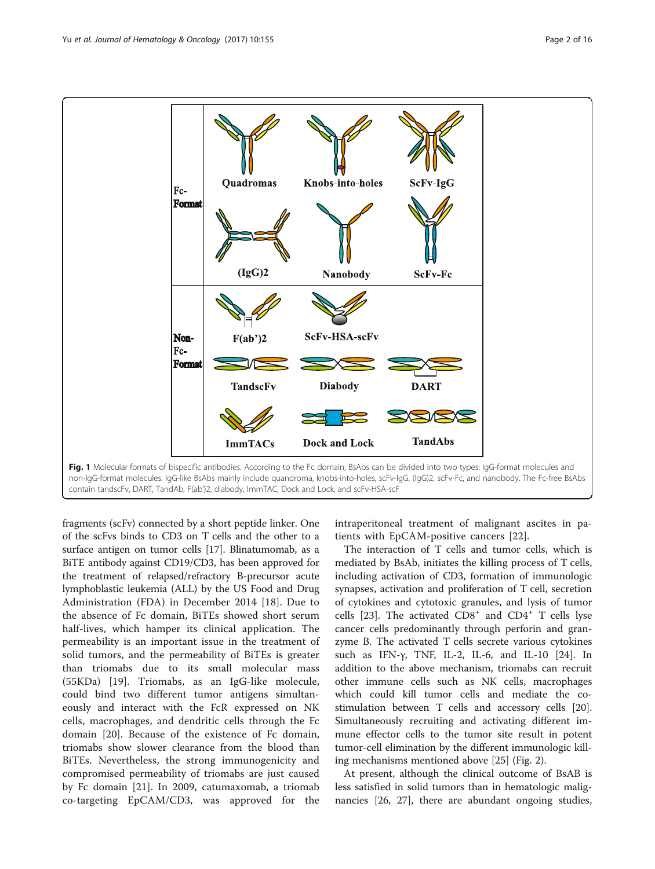<span id="page-1-0"></span>

contain tandscFv, DART, TandAb, F(ab')2, diabody, ImmTAC, Dock and Lock, and scFv-HSA-scF

fragments (scFv) connected by a short peptide linker. One of the scFvs binds to CD3 on T cells and the other to a surface antigen on tumor cells [\[17\]](#page-12-0). Blinatumomab, as a BiTE antibody against CD19/CD3, has been approved for the treatment of relapsed/refractory B-precursor acute lymphoblastic leukemia (ALL) by the US Food and Drug Administration (FDA) in December 2014 [\[18](#page-12-0)]. Due to the absence of Fc domain, BiTEs showed short serum half-lives, which hamper its clinical application. The permeability is an important issue in the treatment of solid tumors, and the permeability of BiTEs is greater than triomabs due to its small molecular mass (55KDa) [\[19](#page-12-0)]. Triomabs, as an IgG-like molecule, could bind two different tumor antigens simultaneously and interact with the FcR expressed on NK cells, macrophages, and dendritic cells through the Fc domain [\[20](#page-12-0)]. Because of the existence of Fc domain, triomabs show slower clearance from the blood than BiTEs. Nevertheless, the strong immunogenicity and compromised permeability of triomabs are just caused by Fc domain [[21\]](#page-12-0). In 2009, catumaxomab, a triomab co-targeting EpCAM/CD3, was approved for the

intraperitoneal treatment of malignant ascites in patients with EpCAM-positive cancers [\[22](#page-12-0)].

The interaction of T cells and tumor cells, which is mediated by BsAb, initiates the killing process of T cells, including activation of CD3, formation of immunologic synapses, activation and proliferation of T cell, secretion of cytokines and cytotoxic granules, and lysis of tumor cells [[23](#page-12-0)]. The activated  $CDS<sup>+</sup>$  and  $CD4<sup>+</sup>$  T cells lyse cancer cells predominantly through perforin and granzyme B. The activated T cells secrete various cytokines such as IFN-γ, TNF, IL-2, IL-6, and IL-10 [\[24](#page-12-0)]. In addition to the above mechanism, triomabs can recruit other immune cells such as NK cells, macrophages which could kill tumor cells and mediate the costimulation between T cells and accessory cells [\[20](#page-12-0)]. Simultaneously recruiting and activating different immune effector cells to the tumor site result in potent tumor-cell elimination by the different immunologic killing mechanisms mentioned above [\[25](#page-12-0)] (Fig. [2\)](#page-2-0).

At present, although the clinical outcome of BsAB is less satisfied in solid tumors than in hematologic malignancies [[26](#page-12-0), [27\]](#page-12-0), there are abundant ongoing studies,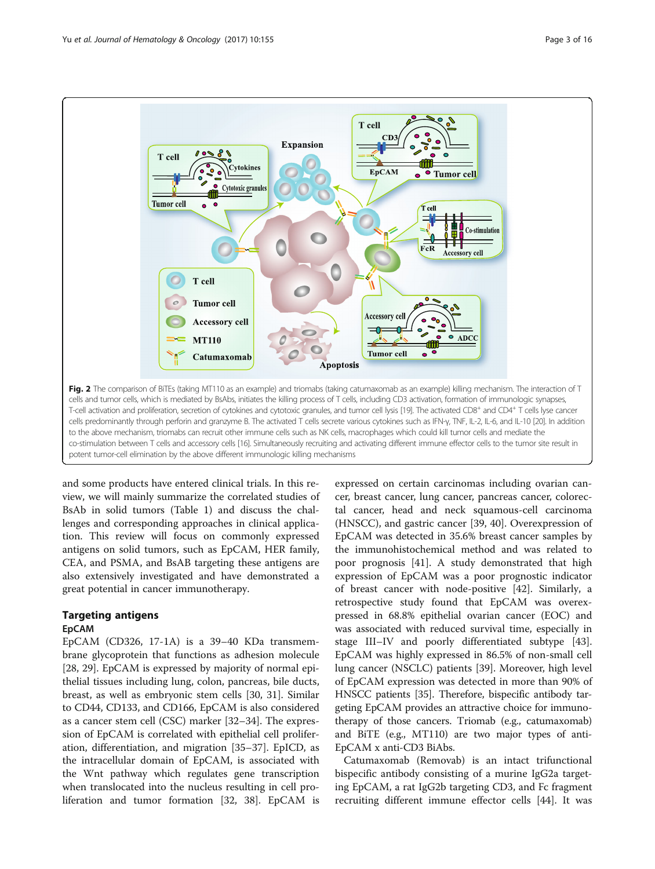

<span id="page-2-0"></span>

and some products have entered clinical trials. In this review, we will mainly summarize the correlated studies of BsAb in solid tumors (Table [1](#page-3-0)) and discuss the challenges and corresponding approaches in clinical application. This review will focus on commonly expressed antigens on solid tumors, such as EpCAM, HER family, CEA, and PSMA, and BsAB targeting these antigens are also extensively investigated and have demonstrated a great potential in cancer immunotherapy.

# Targeting antigens EpCAM

EpCAM (CD326, 17-1A) is a 39–40 KDa transmembrane glycoprotein that functions as adhesion molecule [[28, 29\]](#page-12-0). EpCAM is expressed by majority of normal epithelial tissues including lung, colon, pancreas, bile ducts, breast, as well as embryonic stem cells [[30, 31](#page-12-0)]. Similar to CD44, CD133, and CD166, EpCAM is also considered as a cancer stem cell (CSC) marker [[32](#page-12-0)–[34](#page-12-0)]. The expression of EpCAM is correlated with epithelial cell proliferation, differentiation, and migration [[35](#page-12-0)–[37](#page-12-0)]. EpICD, as the intracellular domain of EpCAM, is associated with the Wnt pathway which regulates gene transcription when translocated into the nucleus resulting in cell proliferation and tumor formation [[32, 38\]](#page-12-0). EpCAM is

expressed on certain carcinomas including ovarian cancer, breast cancer, lung cancer, pancreas cancer, colorectal cancer, head and neck squamous-cell carcinoma (HNSCC), and gastric cancer [[39, 40\]](#page-12-0). Overexpression of EpCAM was detected in 35.6% breast cancer samples by the immunohistochemical method and was related to poor prognosis [\[41](#page-12-0)]. A study demonstrated that high expression of EpCAM was a poor prognostic indicator of breast cancer with node-positive [\[42](#page-12-0)]. Similarly, a retrospective study found that EpCAM was overexpressed in 68.8% epithelial ovarian cancer (EOC) and was associated with reduced survival time, especially in stage III–IV and poorly differentiated subtype [\[43](#page-12-0)]. EpCAM was highly expressed in 86.5% of non-small cell lung cancer (NSCLC) patients [[39\]](#page-12-0). Moreover, high level of EpCAM expression was detected in more than 90% of HNSCC patients [\[35\]](#page-12-0). Therefore, bispecific antibody targeting EpCAM provides an attractive choice for immunotherapy of those cancers. Triomab (e.g., catumaxomab) and BiTE (e.g., MT110) are two major types of anti-EpCAM x anti-CD3 BiAbs.

Catumaxomab (Removab) is an intact trifunctional bispecific antibody consisting of a murine IgG2a targeting EpCAM, a rat IgG2b targeting CD3, and Fc fragment recruiting different immune effector cells [\[44](#page-12-0)]. It was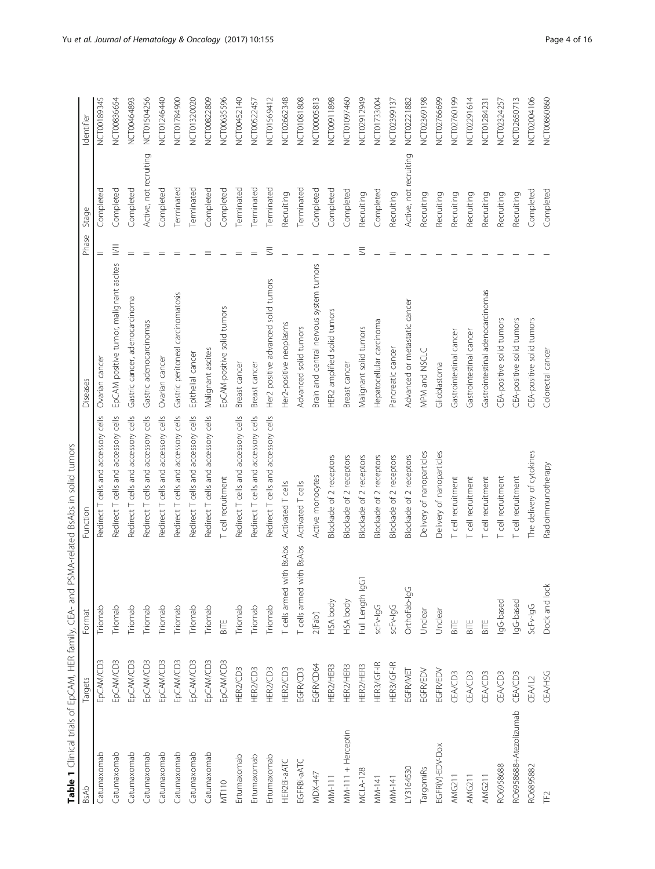<span id="page-3-0"></span>

| DIR-KUJ (AILIPI KUL (AKU)QU DARID RJILIJ I DIRE |                    |                             | r Siviet Ergie des lis sensibilitäts in Solid |                                         |          |                        |             |
|-------------------------------------------------|--------------------|-----------------------------|-----------------------------------------------|-----------------------------------------|----------|------------------------|-------------|
| <b>BsAb</b>                                     | Targets            | Format                      | Function                                      | Diseases                                | Phase    | Stage                  | Identifier  |
| Catumaxomab                                     | EpCAM/CD3          | Triomab                     | Redirect T cells and accessory cells          | Ovarian cancer                          | $=$      | Completed              | NCT00189345 |
| Catumaxomab                                     | EpCAM/CD3          | Triomab                     | Redirect T cells and accessory cells          | EpCAM positive tumor, malignant ascites | $\equiv$ | Completed              | NCT00836654 |
| Catumaxomab                                     | EpCAM/CD3          | Triomab                     | Redirect T cells and accessory cells          | Gastric cancer, adenocarcinoma          |          | Completed              | NCT00464893 |
| Catumaxomab                                     | EpCAM/CD3          | Triomab                     | Redirect T cells and accessory cells          | Gastric adenocarcinomas                 |          | Active, not recruiting | NCT01504256 |
| Catumaxomab                                     | EpCAM/CD3          | Triomab                     | Redirect T cells and accessory cells          | Ovarian cancer                          |          | Completed              | NCT01246440 |
| Catumaxomab                                     | EpCAM/CD3          | Triomab                     | Redirect T cells and accessory cells          | Gastric peritoneal carcinomatosis       |          | Terminated             | NCT01784900 |
| Catumaxomab                                     | EpCAM/CD3          | Triomab                     | Redirect T cells and accessory cells          | Epithelial cancer                       |          | Terminated             | NCT01320020 |
| Catumaxomab                                     | EpCAM/CD3          | Triomab                     | Redirect T cells and accessory cells          | Malignant ascites                       | Ξ        | Completed              | NCT00822809 |
| MT110                                           | EpCAM/CD3          | BITE                        | T cell recruitment                            | EpCAM-positive solid tumors             |          | Completed              | NCT00635596 |
| Ertumaxomab                                     | HER2/CD3           | Triomab                     | Redirect T cells and accessory cells          | Breast cancer                           |          | Terminated             | NCT00452140 |
| Ertumaxomab                                     | <b>HER2/CD3</b>    | Triomab                     | Redirect T cells and accessory cells          | Breast cancer                           |          | Terminated             | NCT00522457 |
| Ertumaxomab                                     | HER2/CD3           | Triomab                     | Redirect T cells and accessory cells          | Her2 positive advanced solid tumors     | $\equiv$ | Terminated             | NCT01569412 |
| HER2Bi-aATC                                     | HER2/CD3           | with BsAbs<br>T cells armed | Activated T cells                             | Her2-positive neoplasms                 |          | Recruiting             | NCT02662348 |
| EGFRBi-aATC                                     | EGFR/CD3           | with BsAbs<br>T cells armed | Activated T cells                             | Advanced solid tumors                   |          | Terminated             | NCT01081808 |
| MDX-447                                         | EGFR/CD64          | 2(Fab)                      | Active monocytes                              | Brain and central nervous system tumors |          | Completed              | NCT00005813 |
| $MM-111$                                        | <b>HER2/HER3</b>   | HSA body                    | Blockade of 2 receptors                       | HER2 amplified solid tumors             |          | Completed              | NCT00911898 |
| MM-111 + Herceptin                              | HER2/HER3          | HSA body                    | Blockade of 2 receptors                       | Breast cancer                           |          | Completed              | NCT01097460 |
| MCLA-128                                        | HER2/HER3          | Full Length IgG1            | Blockade of 2 receptors                       | Malignant solid tumors                  | $\equiv$ | Recruiting             | NCT02912949 |
| $MM-141$                                        | <b>HER3/IGF-IR</b> | scFv-lgG                    | Blockade of 2 receptors                       | Hepatocellular carcinoma                |          | Completed              | NCT01733004 |
| $MM-141$                                        | <b>ER3/IGF-IR</b>  | $scFv-lgG$                  | Blockade of 2 receptors                       | Pancreatic cancer                       |          | Recruiting             | NCT02399137 |
| LY3164530                                       | EGFR/MET           | OrthoFab-IgG                | Blockade of 2 receptors                       | Advanced or metastatic cancer           |          | Active, not recruiting | NCT02221882 |
| TargomiRs                                       | EGFR/EDV           | Unclear                     | Delivery of nanoparticles                     | MPM and NSCLC                           |          | Recruiting             | NCT02369198 |
| EGFR(V)-EDV-Dox                                 | EGFR/EDV           | Unclear                     | Delivery of nanoparticles                     | Glioblastoma                            |          | Recruiting             | NCT02766699 |
| <b>AMG211</b>                                   | CEA/CD3            | BITE                        | T cell recruitment                            | Gastrointestinal cancer                 |          | Recruiting             | NCT02760199 |
| <b>AMG211</b>                                   | CEA/CD3            | BITE                        | T cell recruitment                            | Gastrointestinal cancer                 |          | Recruiting             | NCT02291614 |
| <b>AMG211</b>                                   | CEA/CD3            | BITE                        | T cell recruitment                            | Gastrointestinal adenocarcinomas        |          | Recruiting             | NCT01284231 |
| RO6958688                                       | CEA/CD3            | lgG-based                   | T cell recruitment                            | CEA-positive solid tumors               |          | Recruiting             | NCT02324257 |
| RO6958688+Atezolizumab                          | CEA/CD3            | lgG-based                   | T cell recruitment                            | CEA-positive solid tumors               |          | Recruiting             | NCT02650713 |
| RO6895882                                       | CEA/IL2            | ScFv-lgG                    | The delivery of cytokines                     | CEA-positive solid tumors               |          | Completed              | NCT02004106 |
| $\mathbb{F}^2$                                  | <b>CEA/HSG</b>     | Dock and lock               | Radioimmunotherapy                            | Colorectal cancer                       |          | Completed              | NCT00860860 |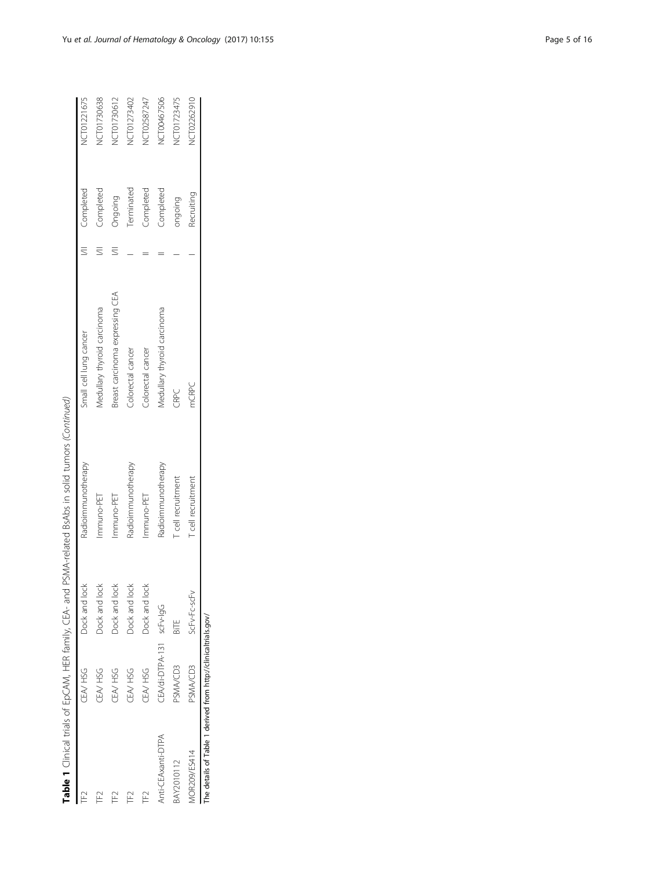| FP                 | CEA/HSG                  | Dock and lock | Radioimmunotherapy | Small cell lung cancer          | Completed  | NCT01221675        |
|--------------------|--------------------------|---------------|--------------------|---------------------------------|------------|--------------------|
| TF2                | CEA/ HSG                 | Dock and lock | mmuno-PET          | Medullary thyroid carcinoma     | Completed  | NCT01730638        |
| TF2                | CEA/HSG                  | Dock and lock | mmuno-PET          | Breast carcinoma expressing CEA | Ongoing    | <b>NCT01730612</b> |
| TF2                | <b>CEA/HSG</b>           | Dock and lock | Radioimmunotherapy | Colorectal cancer               | Terminated | NCT01273402        |
| TF2                | <b>CEA/HSG</b>           | Dock and lock | Immuno-PET         | Colorectal cancer               | Completed  | NCT02587247        |
| Anti-CEAxanti-DTPA | CEA/di-DTPA-131 scFv-lgG |               | Radioimmunotherapy | Medullary thyroid carcinoma     | Completed  | NCT00467506        |
| BAY2010112         | PSMA/CD3                 | BITE          | T cell recruitment | CRPC                            | puiobuc    | <b>NCT01723475</b> |
| MOR209/ES414       | PSMA/CD3                 | ScFv-Fc-scFv  | T cell recruitment | mCRPC                           | Recruiting | NCT02262910        |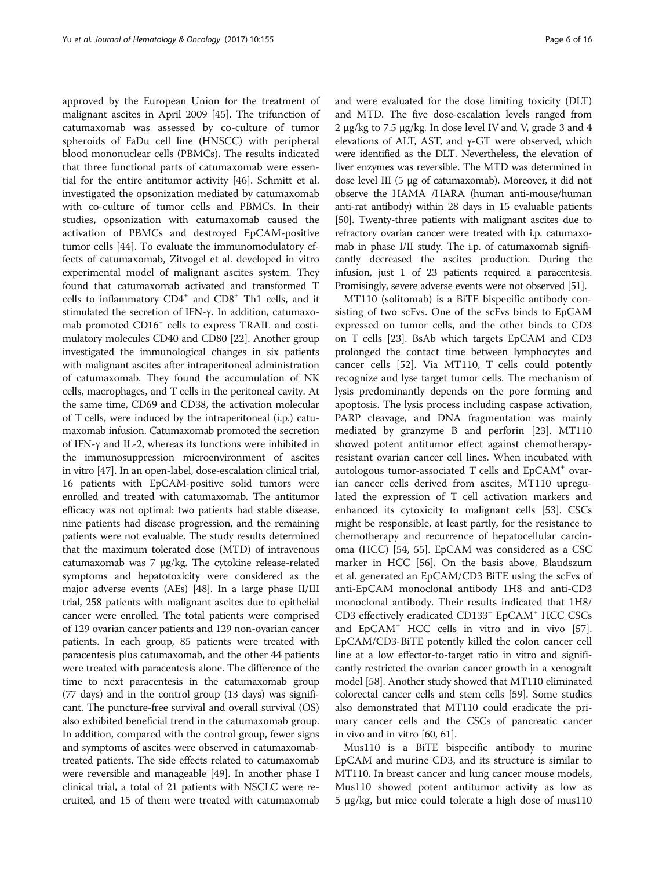approved by the European Union for the treatment of malignant ascites in April 2009 [[45\]](#page-12-0). The trifunction of catumaxomab was assessed by co-culture of tumor spheroids of FaDu cell line (HNSCC) with peripheral blood mononuclear cells (PBMCs). The results indicated that three functional parts of catumaxomab were essential for the entire antitumor activity [[46\]](#page-12-0). Schmitt et al. investigated the opsonization mediated by catumaxomab with co-culture of tumor cells and PBMCs. In their studies, opsonization with catumaxomab caused the activation of PBMCs and destroyed EpCAM-positive tumor cells [\[44](#page-12-0)]. To evaluate the immunomodulatory effects of catumaxomab, Zitvogel et al. developed in vitro experimental model of malignant ascites system. They found that catumaxomab activated and transformed T cells to inflammatory CD4<sup>+</sup> and CD8<sup>+</sup> Th1 cells, and it stimulated the secretion of IFN-γ. In addition, catumaxomab promoted CD16<sup>+</sup> cells to express TRAIL and costimulatory molecules CD40 and CD80 [[22](#page-12-0)]. Another group investigated the immunological changes in six patients with malignant ascites after intraperitoneal administration of catumaxomab. They found the accumulation of NK cells, macrophages, and T cells in the peritoneal cavity. At the same time, CD69 and CD38, the activation molecular of T cells, were induced by the intraperitoneal (i.p.) catumaxomab infusion. Catumaxomab promoted the secretion of IFN-γ and IL-2, whereas its functions were inhibited in the immunosuppression microenvironment of ascites in vitro [\[47\]](#page-12-0). In an open-label, dose-escalation clinical trial, 16 patients with EpCAM-positive solid tumors were enrolled and treated with catumaxomab. The antitumor efficacy was not optimal: two patients had stable disease, nine patients had disease progression, and the remaining patients were not evaluable. The study results determined that the maximum tolerated dose (MTD) of intravenous catumaxomab was 7 μg/kg. The cytokine release-related symptoms and hepatotoxicity were considered as the major adverse events (AEs) [[48](#page-12-0)]. In a large phase II/III trial, 258 patients with malignant ascites due to epithelial cancer were enrolled. The total patients were comprised of 129 ovarian cancer patients and 129 non-ovarian cancer patients. In each group, 85 patients were treated with paracentesis plus catumaxomab, and the other 44 patients were treated with paracentesis alone. The difference of the time to next paracentesis in the catumaxomab group (77 days) and in the control group (13 days) was significant. The puncture-free survival and overall survival (OS) also exhibited beneficial trend in the catumaxomab group. In addition, compared with the control group, fewer signs and symptoms of ascites were observed in catumaxomabtreated patients. The side effects related to catumaxomab were reversible and manageable [[49](#page-12-0)]. In another phase I clinical trial, a total of 21 patients with NSCLC were recruited, and 15 of them were treated with catumaxomab and were evaluated for the dose limiting toxicity (DLT) and MTD. The five dose-escalation levels ranged from 2 μg/kg to 7.5 μg/kg. In dose level IV and V, grade 3 and 4 elevations of ALT, AST, and  $γ$ -GT were observed, which were identified as the DLT. Nevertheless, the elevation of liver enzymes was reversible. The MTD was determined in dose level III (5 μg of catumaxomab). Moreover, it did not observe the HAMA /HARA (human anti-mouse/human anti-rat antibody) within 28 days in 15 evaluable patients [[50](#page-12-0)]. Twenty-three patients with malignant ascites due to refractory ovarian cancer were treated with i.p. catumaxomab in phase I/II study. The i.p. of catumaxomab significantly decreased the ascites production. During the infusion, just 1 of 23 patients required a paracentesis. Promisingly, severe adverse events were not observed [\[51\]](#page-12-0).

MT110 (solitomab) is a BiTE bispecific antibody consisting of two scFvs. One of the scFvs binds to EpCAM expressed on tumor cells, and the other binds to CD3 on T cells [\[23](#page-12-0)]. BsAb which targets EpCAM and CD3 prolonged the contact time between lymphocytes and cancer cells [[52\]](#page-12-0). Via MT110, T cells could potently recognize and lyse target tumor cells. The mechanism of lysis predominantly depends on the pore forming and apoptosis. The lysis process including caspase activation, PARP cleavage, and DNA fragmentation was mainly mediated by granzyme B and perforin [[23\]](#page-12-0). MT110 showed potent antitumor effect against chemotherapyresistant ovarian cancer cell lines. When incubated with autologous tumor-associated T cells and EpCAM+ ovarian cancer cells derived from ascites, MT110 upregulated the expression of T cell activation markers and enhanced its cytoxicity to malignant cells [[53\]](#page-13-0). CSCs might be responsible, at least partly, for the resistance to chemotherapy and recurrence of hepatocellular carcinoma (HCC) [[54](#page-13-0), [55](#page-13-0)]. EpCAM was considered as a CSC marker in HCC [\[56](#page-13-0)]. On the basis above, Blaudszum et al. generated an EpCAM/CD3 BiTE using the scFvs of anti-EpCAM monoclonal antibody 1H8 and anti-CD3 monoclonal antibody. Their results indicated that 1H8/ CD3 effectively eradicated CD133<sup>+</sup> EpCAM+ HCC CSCs and EpCAM<sup>+</sup> HCC cells in vitro and in vivo [\[57](#page-13-0)]. EpCAM/CD3-BiTE potently killed the colon cancer cell line at a low effector-to-target ratio in vitro and significantly restricted the ovarian cancer growth in a xenograft model [\[58](#page-13-0)]. Another study showed that MT110 eliminated colorectal cancer cells and stem cells [[59](#page-13-0)]. Some studies also demonstrated that MT110 could eradicate the primary cancer cells and the CSCs of pancreatic cancer in vivo and in vitro [\[60, 61](#page-13-0)].

Mus110 is a BiTE bispecific antibody to murine EpCAM and murine CD3, and its structure is similar to MT110. In breast cancer and lung cancer mouse models, Mus110 showed potent antitumor activity as low as 5 μg/kg, but mice could tolerate a high dose of mus110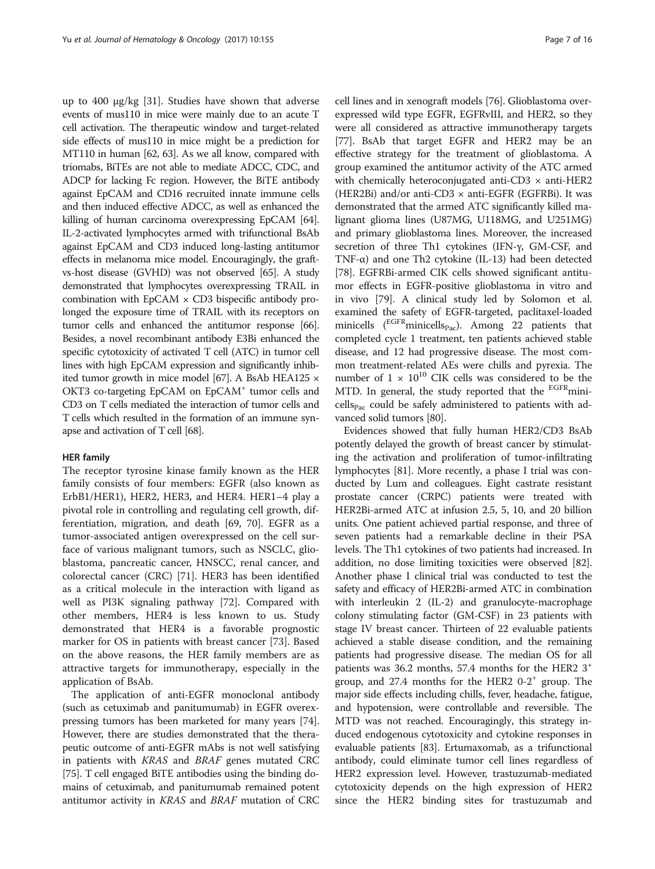up to 400 μg/kg [\[31](#page-12-0)]. Studies have shown that adverse events of mus110 in mice were mainly due to an acute T cell activation. The therapeutic window and target-related side effects of mus110 in mice might be a prediction for MT110 in human [\[62, 63](#page-13-0)]. As we all know, compared with triomabs, BiTEs are not able to mediate ADCC, CDC, and ADCP for lacking Fc region. However, the BiTE antibody against EpCAM and CD16 recruited innate immune cells and then induced effective ADCC, as well as enhanced the killing of human carcinoma overexpressing EpCAM [\[64](#page-13-0)]. IL-2-activated lymphocytes armed with trifunctional BsAb against EpCAM and CD3 induced long-lasting antitumor effects in melanoma mice model. Encouragingly, the graftvs-host disease (GVHD) was not observed [\[65](#page-13-0)]. A study demonstrated that lymphocytes overexpressing TRAIL in combination with  $EpCAM \times CD3$  bispecific antibody prolonged the exposure time of TRAIL with its receptors on tumor cells and enhanced the antitumor response [\[66](#page-13-0)]. Besides, a novel recombinant antibody E3Bi enhanced the specific cytotoxicity of activated T cell (ATC) in tumor cell lines with high EpCAM expression and significantly inhibited tumor growth in mice model [\[67\]](#page-13-0). A BsAb HEA125 × OKT3 co-targeting EpCAM on EpCAM<sup>+</sup> tumor cells and CD3 on T cells mediated the interaction of tumor cells and T cells which resulted in the formation of an immune synapse and activation of T cell [\[68](#page-13-0)].

## HER family

The receptor tyrosine kinase family known as the HER family consists of four members: EGFR (also known as ErbB1/HER1), HER2, HER3, and HER4. HER1–4 play a pivotal role in controlling and regulating cell growth, differentiation, migration, and death [[69](#page-13-0), [70](#page-13-0)]. EGFR as a tumor-associated antigen overexpressed on the cell surface of various malignant tumors, such as NSCLC, glioblastoma, pancreatic cancer, HNSCC, renal cancer, and colorectal cancer (CRC) [\[71\]](#page-13-0). HER3 has been identified as a critical molecule in the interaction with ligand as well as PI3K signaling pathway [\[72](#page-13-0)]. Compared with other members, HER4 is less known to us. Study demonstrated that HER4 is a favorable prognostic marker for OS in patients with breast cancer [\[73](#page-13-0)]. Based on the above reasons, the HER family members are as attractive targets for immunotherapy, especially in the application of BsAb.

The application of anti-EGFR monoclonal antibody (such as cetuximab and panitumumab) in EGFR overexpressing tumors has been marketed for many years [[74](#page-13-0)]. However, there are studies demonstrated that the therapeutic outcome of anti-EGFR mAbs is not well satisfying in patients with KRAS and BRAF genes mutated CRC [[75](#page-13-0)]. T cell engaged BiTE antibodies using the binding domains of cetuximab, and panitumumab remained potent antitumor activity in KRAS and BRAF mutation of CRC cell lines and in xenograft models [[76](#page-13-0)]. Glioblastoma overexpressed wild type EGFR, EGFRvIII, and HER2, so they were all considered as attractive immunotherapy targets [[77](#page-13-0)]. BsAb that target EGFR and HER2 may be an effective strategy for the treatment of glioblastoma. A group examined the antitumor activity of the ATC armed with chemically heteroconjugated anti-CD3  $\times$  anti-HER2 (HER2Bi) and/or anti-CD3  $\times$  anti-EGFR (EGFRBi). It was demonstrated that the armed ATC significantly killed malignant glioma lines (U87MG, U118MG, and U251MG) and primary glioblastoma lines. Moreover, the increased secretion of three Th1 cytokines (IFN-γ, GM-CSF, and TNF- $\alpha$ ) and one Th2 cytokine (IL-13) had been detected [[78](#page-13-0)]. EGFRBi-armed CIK cells showed significant antitumor effects in EGFR-positive glioblastoma in vitro and in vivo [\[79](#page-13-0)]. A clinical study led by Solomon et al. examined the safety of EGFR-targeted, paclitaxel-loaded minicells  $($ <sup>EGFR</sup>minicells<sub>Pac</sub>). Among 22 patients that completed cycle 1 treatment, ten patients achieved stable disease, and 12 had progressive disease. The most common treatment-related AEs were chills and pyrexia. The number of  $1 \times 10^{10}$  CIK cells was considered to be the MTD. In general, the study reported that the <sup>EGFR</sup>minicells<sub>Pac</sub> could be safely administered to patients with advanced solid tumors [\[80\]](#page-13-0).

Evidences showed that fully human HER2/CD3 BsAb potently delayed the growth of breast cancer by stimulating the activation and proliferation of tumor-infiltrating lymphocytes [\[81\]](#page-13-0). More recently, a phase I trial was conducted by Lum and colleagues. Eight castrate resistant prostate cancer (CRPC) patients were treated with HER2Bi-armed ATC at infusion 2.5, 5, 10, and 20 billion units. One patient achieved partial response, and three of seven patients had a remarkable decline in their PSA levels. The Th1 cytokines of two patients had increased. In addition, no dose limiting toxicities were observed [[82](#page-13-0)]. Another phase I clinical trial was conducted to test the safety and efficacy of HER2Bi-armed ATC in combination with interleukin 2 (IL-2) and granulocyte-macrophage colony stimulating factor (GM-CSF) in 23 patients with stage IV breast cancer. Thirteen of 22 evaluable patients achieved a stable disease condition, and the remaining patients had progressive disease. The median OS for all patients was 36.2 months, 57.4 months for the HER2 3+ group, and  $27.4$  months for the HER2 0-2<sup>+</sup> group. The major side effects including chills, fever, headache, fatigue, and hypotension, were controllable and reversible. The MTD was not reached. Encouragingly, this strategy induced endogenous cytotoxicity and cytokine responses in evaluable patients [\[83\]](#page-13-0). Ertumaxomab, as a trifunctional antibody, could eliminate tumor cell lines regardless of HER2 expression level. However, trastuzumab-mediated cytotoxicity depends on the high expression of HER2 since the HER2 binding sites for trastuzumab and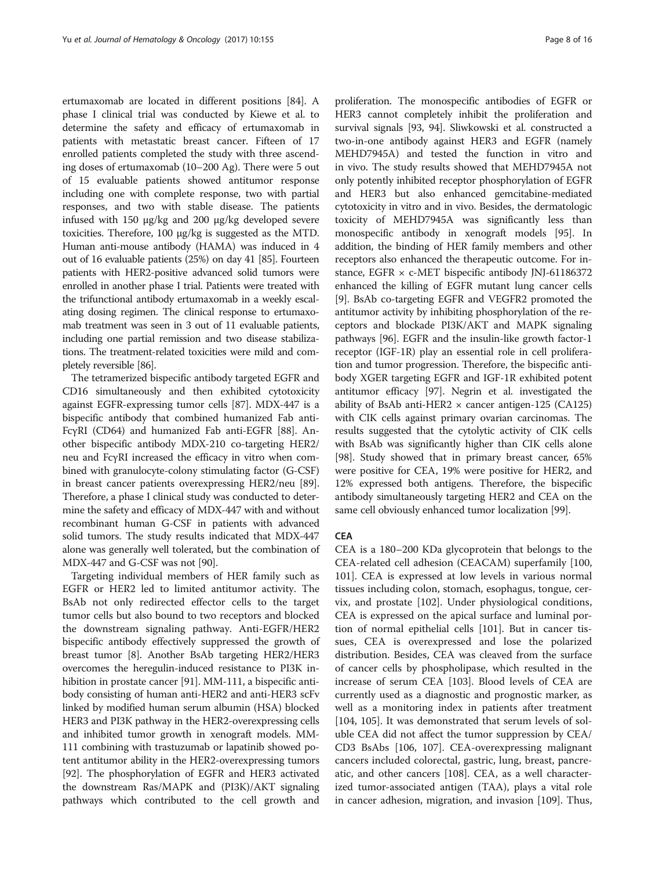ertumaxomab are located in different positions [[84](#page-13-0)]. A phase I clinical trial was conducted by Kiewe et al. to determine the safety and efficacy of ertumaxomab in patients with metastatic breast cancer. Fifteen of 17 enrolled patients completed the study with three ascending doses of ertumaxomab (10–200 Ag). There were 5 out of 15 evaluable patients showed antitumor response including one with complete response, two with partial responses, and two with stable disease. The patients infused with 150 μg/kg and 200 μg/kg developed severe toxicities. Therefore, 100 μg/kg is suggested as the MTD. Human anti-mouse antibody (HAMA) was induced in 4 out of 16 evaluable patients (25%) on day 41 [\[85](#page-13-0)]. Fourteen patients with HER2-positive advanced solid tumors were enrolled in another phase I trial. Patients were treated with the trifunctional antibody ertumaxomab in a weekly escalating dosing regimen. The clinical response to ertumaxomab treatment was seen in 3 out of 11 evaluable patients, including one partial remission and two disease stabilizations. The treatment-related toxicities were mild and completely reversible [[86](#page-13-0)].

The tetramerized bispecific antibody targeted EGFR and CD16 simultaneously and then exhibited cytotoxicity against EGFR-expressing tumor cells [[87](#page-13-0)]. MDX-447 is a bispecific antibody that combined humanized Fab anti-FcγRI (CD64) and humanized Fab anti-EGFR [\[88\]](#page-13-0). Another bispecific antibody MDX-210 co-targeting HER2/ neu and FcγRI increased the efficacy in vitro when combined with granulocyte-colony stimulating factor (G-CSF) in breast cancer patients overexpressing HER2/neu [[89](#page-13-0)]. Therefore, a phase I clinical study was conducted to determine the safety and efficacy of MDX-447 with and without recombinant human G-CSF in patients with advanced solid tumors. The study results indicated that MDX-447 alone was generally well tolerated, but the combination of MDX-447 and G-CSF was not [\[90](#page-13-0)].

Targeting individual members of HER family such as EGFR or HER2 led to limited antitumor activity. The BsAb not only redirected effector cells to the target tumor cells but also bound to two receptors and blocked the downstream signaling pathway. Anti-EGFR/HER2 bispecific antibody effectively suppressed the growth of breast tumor [\[8](#page-12-0)]. Another BsAb targeting HER2/HER3 overcomes the heregulin-induced resistance to PI3K inhibition in prostate cancer [\[91](#page-13-0)]. MM-111, a bispecific antibody consisting of human anti-HER2 and anti-HER3 scFv linked by modified human serum albumin (HSA) blocked HER3 and PI3K pathway in the HER2-overexpressing cells and inhibited tumor growth in xenograft models. MM-111 combining with trastuzumab or lapatinib showed potent antitumor ability in the HER2-overexpressing tumors [[92](#page-13-0)]. The phosphorylation of EGFR and HER3 activated the downstream Ras/MAPK and (PI3K)/AKT signaling pathways which contributed to the cell growth and

proliferation. The monospecific antibodies of EGFR or HER3 cannot completely inhibit the proliferation and survival signals [\[93, 94\]](#page-13-0). Sliwkowski et al. constructed a two-in-one antibody against HER3 and EGFR (namely MEHD7945A) and tested the function in vitro and in vivo. The study results showed that MEHD7945A not only potently inhibited receptor phosphorylation of EGFR and HER3 but also enhanced gemcitabine-mediated cytotoxicity in vitro and in vivo. Besides, the dermatologic toxicity of MEHD7945A was significantly less than monospecific antibody in xenograft models [[95](#page-13-0)]. In addition, the binding of HER family members and other receptors also enhanced the therapeutic outcome. For instance, EGFR  $\times$  c-MET bispecific antibody JNJ-61186372 enhanced the killing of EGFR mutant lung cancer cells [[9\]](#page-12-0). BsAb co-targeting EGFR and VEGFR2 promoted the antitumor activity by inhibiting phosphorylation of the receptors and blockade PI3K/AKT and MAPK signaling pathways [\[96\]](#page-13-0). EGFR and the insulin-like growth factor-1 receptor (IGF-1R) play an essential role in cell proliferation and tumor progression. Therefore, the bispecific antibody XGER targeting EGFR and IGF-1R exhibited potent antitumor efficacy [[97](#page-14-0)]. Negrin et al. investigated the ability of BsAb anti-HER2  $\times$  cancer antigen-125 (CA125) with CIK cells against primary ovarian carcinomas. The results suggested that the cytolytic activity of CIK cells with BsAb was significantly higher than CIK cells alone [[98](#page-14-0)]. Study showed that in primary breast cancer, 65% were positive for CEA, 19% were positive for HER2, and 12% expressed both antigens. Therefore, the bispecific antibody simultaneously targeting HER2 and CEA on the same cell obviously enhanced tumor localization [\[99\]](#page-14-0).

## **CEA**

CEA is a 180–200 KDa glycoprotein that belongs to the CEA-related cell adhesion (CEACAM) superfamily [[100](#page-14-0), [101](#page-14-0)]. CEA is expressed at low levels in various normal tissues including colon, stomach, esophagus, tongue, cervix, and prostate [\[102](#page-14-0)]. Under physiological conditions, CEA is expressed on the apical surface and luminal portion of normal epithelial cells [[101](#page-14-0)]. But in cancer tissues, CEA is overexpressed and lose the polarized distribution. Besides, CEA was cleaved from the surface of cancer cells by phospholipase, which resulted in the increase of serum CEA [\[103\]](#page-14-0). Blood levels of CEA are currently used as a diagnostic and prognostic marker, as well as a monitoring index in patients after treatment [[104, 105\]](#page-14-0). It was demonstrated that serum levels of soluble CEA did not affect the tumor suppression by CEA/ CD3 BsAbs [\[106, 107\]](#page-14-0). CEA-overexpressing malignant cancers included colorectal, gastric, lung, breast, pancreatic, and other cancers [\[108\]](#page-14-0). CEA, as a well characterized tumor-associated antigen (TAA), plays a vital role in cancer adhesion, migration, and invasion [[109\]](#page-14-0). Thus,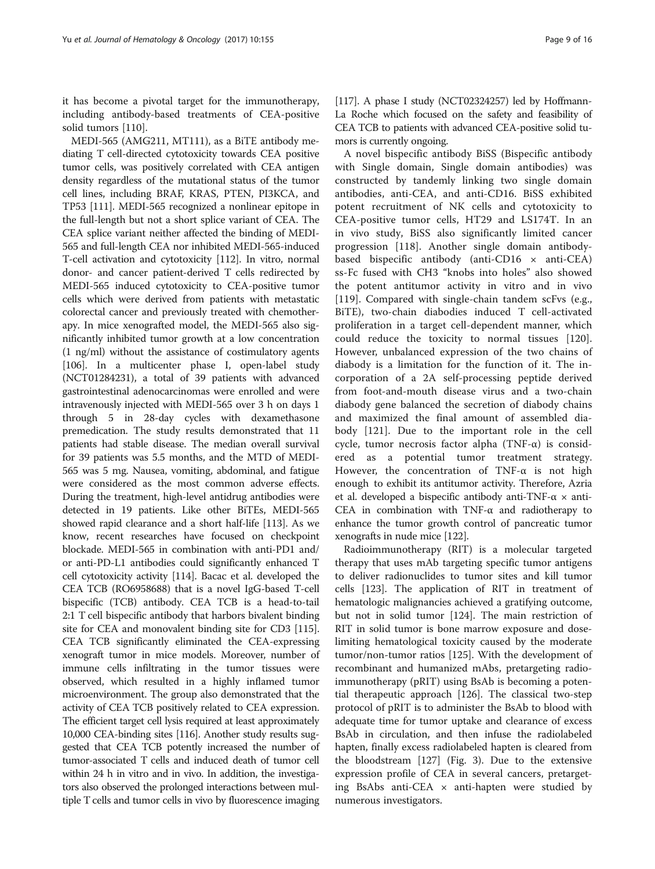it has become a pivotal target for the immunotherapy, including antibody-based treatments of CEA-positive solid tumors [\[110\]](#page-14-0).

MEDI-565 (AMG211, MT111), as a BiTE antibody mediating T cell-directed cytotoxicity towards CEA positive tumor cells, was positively correlated with CEA antigen density regardless of the mutational status of the tumor cell lines, including BRAF, KRAS, PTEN, PI3KCA, and TP53 [[111](#page-14-0)]. MEDI-565 recognized a nonlinear epitope in the full-length but not a short splice variant of CEA. The CEA splice variant neither affected the binding of MEDI-565 and full-length CEA nor inhibited MEDI-565-induced T-cell activation and cytotoxicity [[112](#page-14-0)]. In vitro, normal donor- and cancer patient-derived T cells redirected by MEDI-565 induced cytotoxicity to CEA-positive tumor cells which were derived from patients with metastatic colorectal cancer and previously treated with chemotherapy. In mice xenografted model, the MEDI-565 also significantly inhibited tumor growth at a low concentration (1 ng/ml) without the assistance of costimulatory agents [[106](#page-14-0)]. In a multicenter phase I, open-label study (NCT01284231), a total of 39 patients with advanced gastrointestinal adenocarcinomas were enrolled and were intravenously injected with MEDI-565 over 3 h on days 1 through 5 in 28-day cycles with dexamethasone premedication. The study results demonstrated that 11 patients had stable disease. The median overall survival for 39 patients was 5.5 months, and the MTD of MEDI-565 was 5 mg. Nausea, vomiting, abdominal, and fatigue were considered as the most common adverse effects. During the treatment, high-level antidrug antibodies were detected in 19 patients. Like other BiTEs, MEDI-565 showed rapid clearance and a short half-life [\[113\]](#page-14-0). As we know, recent researches have focused on checkpoint blockade. MEDI-565 in combination with anti-PD1 and/ or anti-PD-L1 antibodies could significantly enhanced T cell cytotoxicity activity [\[114\]](#page-14-0). Bacac et al. developed the CEA TCB (RO6958688) that is a novel IgG-based T-cell bispecific (TCB) antibody. CEA TCB is a head-to-tail 2:1 T cell bispecific antibody that harbors bivalent binding site for CEA and monovalent binding site for CD3 [[115](#page-14-0)]. CEA TCB significantly eliminated the CEA-expressing xenograft tumor in mice models. Moreover, number of immune cells infiltrating in the tumor tissues were observed, which resulted in a highly inflamed tumor microenvironment. The group also demonstrated that the activity of CEA TCB positively related to CEA expression. The efficient target cell lysis required at least approximately 10,000 CEA-binding sites [\[116](#page-14-0)]. Another study results suggested that CEA TCB potently increased the number of tumor-associated T cells and induced death of tumor cell within 24 h in vitro and in vivo. In addition, the investigators also observed the prolonged interactions between multiple T cells and tumor cells in vivo by fluorescence imaging [[117\]](#page-14-0). A phase I study (NCT02324257) led by Hoffmann-La Roche which focused on the safety and feasibility of CEA TCB to patients with advanced CEA-positive solid tumors is currently ongoing.

A novel bispecific antibody BiSS (Bispecific antibody with Single domain, Single domain antibodies) was constructed by tandemly linking two single domain antibodies, anti-CEA, and anti-CD16. BiSS exhibited potent recruitment of NK cells and cytotoxicity to CEA-positive tumor cells, HT29 and LS174T. In an in vivo study, BiSS also significantly limited cancer progression [[118\]](#page-14-0). Another single domain antibodybased bispecific antibody (anti-CD16  $\times$  anti-CEA) ss-Fc fused with CH3 "knobs into holes" also showed the potent antitumor activity in vitro and in vivo [[119\]](#page-14-0). Compared with single-chain tandem scFvs (e.g., BiTE), two-chain diabodies induced T cell-activated proliferation in a target cell-dependent manner, which could reduce the toxicity to normal tissues [\[120](#page-14-0)]. However, unbalanced expression of the two chains of diabody is a limitation for the function of it. The incorporation of a 2A self-processing peptide derived from foot-and-mouth disease virus and a two-chain diabody gene balanced the secretion of diabody chains and maximized the final amount of assembled diabody [[121\]](#page-14-0). Due to the important role in the cell cycle, tumor necrosis factor alpha (TNF-α) is considered as a potential tumor treatment strategy. However, the concentration of TNF-α is not high enough to exhibit its antitumor activity. Therefore, Azria et al. developed a bispecific antibody anti-TNF-α × anti-CEA in combination with TNF-α and radiotherapy to enhance the tumor growth control of pancreatic tumor xenografts in nude mice [[122](#page-14-0)].

Radioimmunotherapy (RIT) is a molecular targeted therapy that uses mAb targeting specific tumor antigens to deliver radionuclides to tumor sites and kill tumor cells [\[123\]](#page-14-0). The application of RIT in treatment of hematologic malignancies achieved a gratifying outcome, but not in solid tumor [\[124](#page-14-0)]. The main restriction of RIT in solid tumor is bone marrow exposure and doselimiting hematological toxicity caused by the moderate tumor/non-tumor ratios [\[125\]](#page-14-0). With the development of recombinant and humanized mAbs, pretargeting radioimmunotherapy (pRIT) using BsAb is becoming a potential therapeutic approach [\[126\]](#page-14-0). The classical two-step protocol of pRIT is to administer the BsAb to blood with adequate time for tumor uptake and clearance of excess BsAb in circulation, and then infuse the radiolabeled hapten, finally excess radiolabeled hapten is cleared from the bloodstream [[127\]](#page-14-0) (Fig. [3\)](#page-9-0). Due to the extensive expression profile of CEA in several cancers, pretargeting BsAbs anti-CEA  $\times$  anti-hapten were studied by numerous investigators.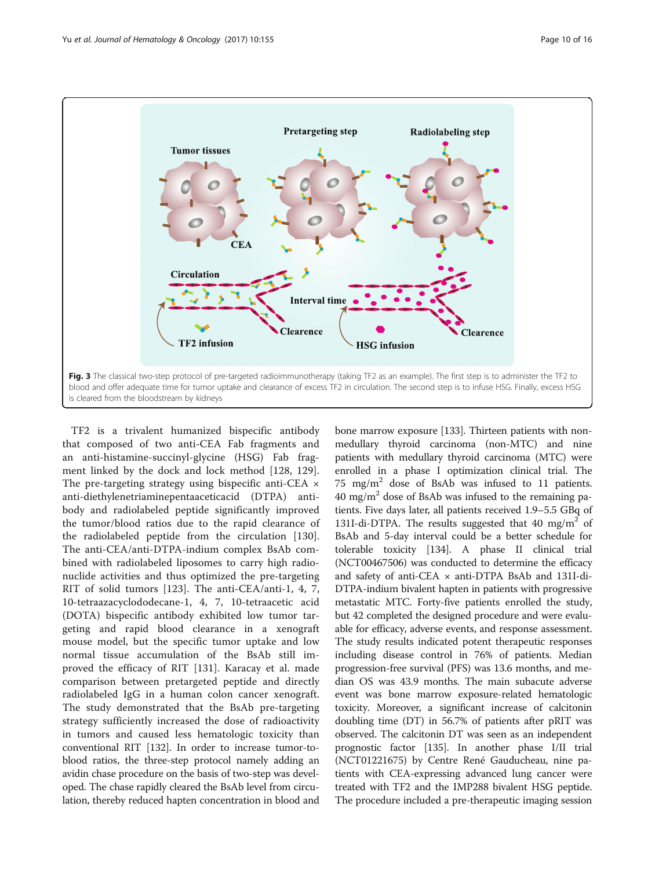<span id="page-9-0"></span>

TF2 is a trivalent humanized bispecific antibody that composed of two anti-CEA Fab fragments and an anti-histamine-succinyl-glycine (HSG) Fab fragment linked by the dock and lock method [[128, 129](#page-14-0)]. The pre-targeting strategy using bispecific anti-CEA × anti-diethylenetriaminepentaaceticacid (DTPA) antibody and radiolabeled peptide significantly improved the tumor/blood ratios due to the rapid clearance of the radiolabeled peptide from the circulation [\[130](#page-14-0)]. The anti-CEA/anti-DTPA-indium complex BsAb combined with radiolabeled liposomes to carry high radionuclide activities and thus optimized the pre-targeting RIT of solid tumors [[123\]](#page-14-0). The anti-CEA/anti-1, 4, 7, 10-tetraazacyclododecane-1, 4, 7, 10-tetraacetic acid (DOTA) bispecific antibody exhibited low tumor targeting and rapid blood clearance in a xenograft mouse model, but the specific tumor uptake and low normal tissue accumulation of the BsAb still improved the efficacy of RIT [[131\]](#page-14-0). Karacay et al. made comparison between pretargeted peptide and directly radiolabeled IgG in a human colon cancer xenograft. The study demonstrated that the BsAb pre-targeting strategy sufficiently increased the dose of radioactivity in tumors and caused less hematologic toxicity than conventional RIT [\[132\]](#page-14-0). In order to increase tumor-toblood ratios, the three-step protocol namely adding an avidin chase procedure on the basis of two-step was developed. The chase rapidly cleared the BsAb level from circulation, thereby reduced hapten concentration in blood and bone marrow exposure [[133](#page-14-0)]. Thirteen patients with nonmedullary thyroid carcinoma (non-MTC) and nine patients with medullary thyroid carcinoma (MTC) were enrolled in a phase I optimization clinical trial. The 75 mg/m<sup>2</sup> dose of BsAb was infused to 11 patients.  $40 \text{ mg/m}^2$  dose of BsAb was infused to the remaining patients. Five days later, all patients received 1.9–5.5 GBq of 131I-di-DTPA. The results suggested that 40 mg/m<sup>2</sup> of BsAb and 5-day interval could be a better schedule for tolerable toxicity [\[134](#page-14-0)]. A phase II clinical trial (NCT00467506) was conducted to determine the efficacy and safety of anti-CEA × anti-DTPA BsAb and 131I-di-DTPA-indium bivalent hapten in patients with progressive metastatic MTC. Forty-five patients enrolled the study, but 42 completed the designed procedure and were evaluable for efficacy, adverse events, and response assessment. The study results indicated potent therapeutic responses including disease control in 76% of patients. Median progression-free survival (PFS) was 13.6 months, and median OS was 43.9 months. The main subacute adverse event was bone marrow exposure-related hematologic toxicity. Moreover, a significant increase of calcitonin doubling time (DT) in 56.7% of patients after pRIT was observed. The calcitonin DT was seen as an independent prognostic factor [[135](#page-15-0)]. In another phase I/II trial (NCT01221675) by Centre René Gauducheau, nine patients with CEA-expressing advanced lung cancer were treated with TF2 and the IMP288 bivalent HSG peptide. The procedure included a pre-therapeutic imaging session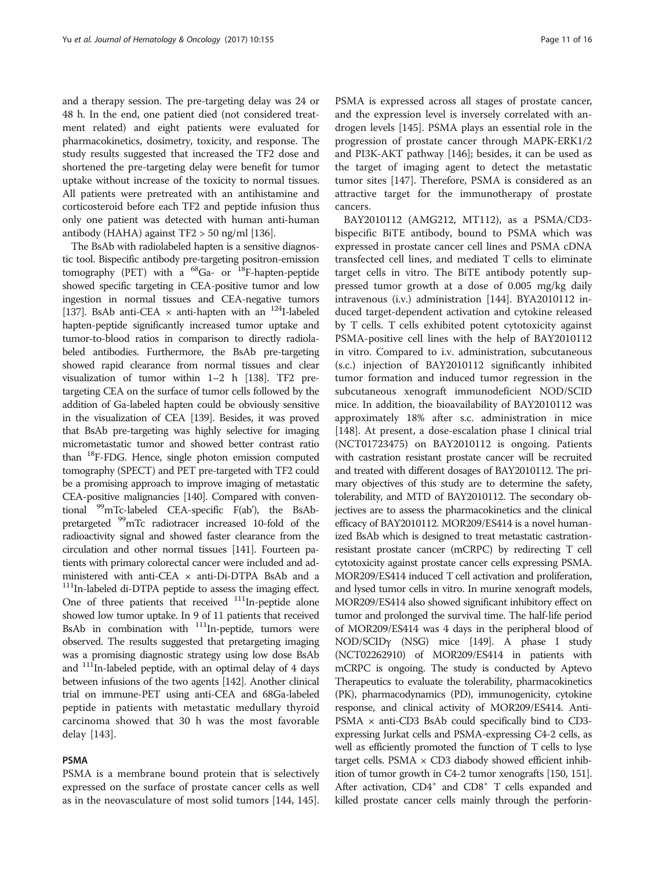and a therapy session. The pre-targeting delay was 24 or 48 h. In the end, one patient died (not considered treatment related) and eight patients were evaluated for pharmacokinetics, dosimetry, toxicity, and response. The study results suggested that increased the TF2 dose and shortened the pre-targeting delay were benefit for tumor uptake without increase of the toxicity to normal tissues. All patients were pretreated with an antihistamine and corticosteroid before each TF2 and peptide infusion thus only one patient was detected with human anti-human antibody (HAHA) against TF2 > 50 ng/ml [\[136\]](#page-15-0).

The BsAb with radiolabeled hapten is a sensitive diagnostic tool. Bispecific antibody pre-targeting positron-emission tomography (PET) with a  $^{68}$ Ga- or  $^{18}$ F-hapten-peptide showed specific targeting in CEA-positive tumor and low ingestion in normal tissues and CEA-negative tumors [[137\]](#page-15-0). BsAb anti-CEA  $\times$  anti-hapten with an <sup>124</sup>I-labeled hapten-peptide significantly increased tumor uptake and tumor-to-blood ratios in comparison to directly radiolabeled antibodies. Furthermore, the BsAb pre-targeting showed rapid clearance from normal tissues and clear visualization of tumor within 1–2 h [[138\]](#page-15-0). TF2 pretargeting CEA on the surface of tumor cells followed by the addition of Ga-labeled hapten could be obviously sensitive in the visualization of CEA [\[139](#page-15-0)]. Besides, it was proved that BsAb pre-targeting was highly selective for imaging micrometastatic tumor and showed better contrast ratio than 18F-FDG. Hence, single photon emission computed tomography (SPECT) and PET pre-targeted with TF2 could be a promising approach to improve imaging of metastatic CEA-positive malignancies [[140\]](#page-15-0). Compared with conventional 99mTc-labeled CEA-specific F(ab'), the BsAbpretargeted 99mTc radiotracer increased 10-fold of the radioactivity signal and showed faster clearance from the circulation and other normal tissues [\[141](#page-15-0)]. Fourteen patients with primary colorectal cancer were included and administered with anti-CEA × anti-Di-DTPA BsAb and a <sup>111</sup>In-labeled di-DTPA peptide to assess the imaging effect. One of three patients that received  $111$ In-peptide alone showed low tumor uptake. In 9 of 11 patients that received BsAb in combination with  $111$ In-peptide, tumors were observed. The results suggested that pretargeting imaging was a promising diagnostic strategy using low dose BsAb and 111In-labeled peptide, with an optimal delay of 4 days between infusions of the two agents [\[142](#page-15-0)]. Another clinical trial on immune-PET using anti-CEA and 68Ga-labeled peptide in patients with metastatic medullary thyroid carcinoma showed that 30 h was the most favorable delay [\[143](#page-15-0)].

## PSMA

PSMA is a membrane bound protein that is selectively expressed on the surface of prostate cancer cells as well as in the neovasculature of most solid tumors [[144](#page-15-0), [145](#page-15-0)].

PSMA is expressed across all stages of prostate cancer, and the expression level is inversely correlated with androgen levels [[145\]](#page-15-0). PSMA plays an essential role in the progression of prostate cancer through MAPK-ERK1/2 and PI3K-AKT pathway [\[146\]](#page-15-0); besides, it can be used as the target of imaging agent to detect the metastatic tumor sites [\[147](#page-15-0)]. Therefore, PSMA is considered as an attractive target for the immunotherapy of prostate cancers.

BAY2010112 (AMG212, MT112), as a PSMA/CD3 bispecific BiTE antibody, bound to PSMA which was expressed in prostate cancer cell lines and PSMA cDNA transfected cell lines, and mediated T cells to eliminate target cells in vitro. The BiTE antibody potently suppressed tumor growth at a dose of 0.005 mg/kg daily intravenous (i.v.) administration [[144](#page-15-0)]. BYA2010112 induced target-dependent activation and cytokine released by T cells. T cells exhibited potent cytotoxicity against PSMA-positive cell lines with the help of BAY2010112 in vitro. Compared to i.v. administration, subcutaneous (s.c.) injection of BAY2010112 significantly inhibited tumor formation and induced tumor regression in the subcutaneous xenograft immunodeficient NOD/SCID mice. In addition, the bioavailability of BAY2010112 was approximately 18% after s.c. administration in mice [[148\]](#page-15-0). At present, a dose-escalation phase I clinical trial (NCT01723475) on BAY2010112 is ongoing. Patients with castration resistant prostate cancer will be recruited and treated with different dosages of BAY2010112. The primary objectives of this study are to determine the safety, tolerability, and MTD of BAY2010112. The secondary objectives are to assess the pharmacokinetics and the clinical efficacy of BAY2010112. MOR209/ES414 is a novel humanized BsAb which is designed to treat metastatic castrationresistant prostate cancer (mCRPC) by redirecting T cell cytotoxicity against prostate cancer cells expressing PSMA. MOR209/ES414 induced T cell activation and proliferation, and lysed tumor cells in vitro. In murine xenograft models, MOR209/ES414 also showed significant inhibitory effect on tumor and prolonged the survival time. The half-life period of MOR209/ES414 was 4 days in the peripheral blood of NOD/SCIDγ (NSG) mice [\[149](#page-15-0)]. A phase I study (NCT02262910) of MOR209/ES414 in patients with mCRPC is ongoing. The study is conducted by Aptevo Therapeutics to evaluate the tolerability, pharmacokinetics (PK), pharmacodynamics (PD), immunogenicity, cytokine response, and clinical activity of MOR209/ES414. Anti- $PSMA \times anti-CD3$  BsAb could specifically bind to CD3expressing Jurkat cells and PSMA-expressing C4-2 cells, as well as efficiently promoted the function of T cells to lyse target cells. PSMA  $\times$  CD3 diabody showed efficient inhibition of tumor growth in C4-2 tumor xenografts [\[150](#page-15-0), [151](#page-15-0)]. After activation,  $CD4^+$  and  $CD8^+$  T cells expanded and killed prostate cancer cells mainly through the perforin-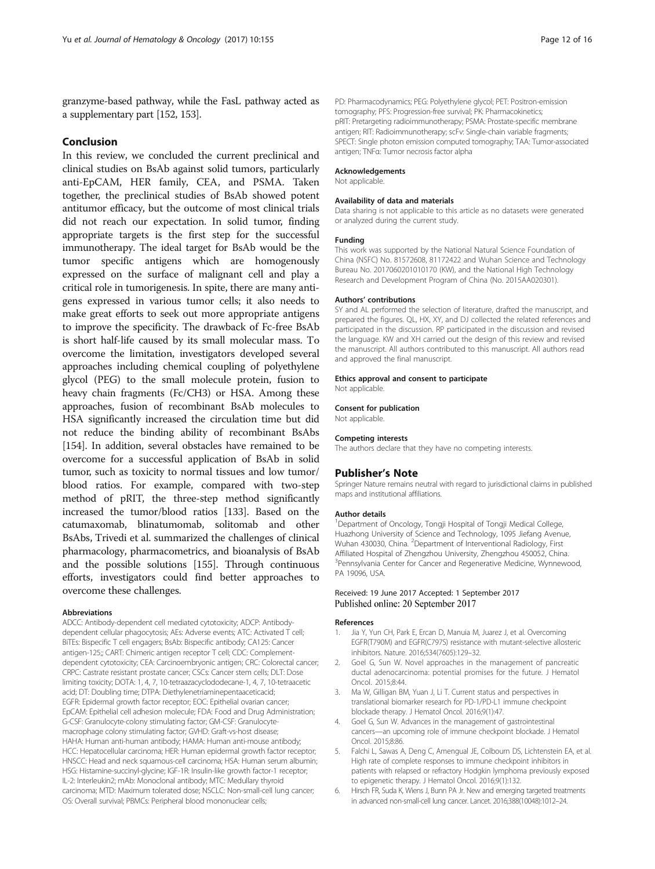<span id="page-11-0"></span>granzyme-based pathway, while the FasL pathway acted as a supplementary part [\[152](#page-15-0), [153](#page-15-0)].

## Conclusion

In this review, we concluded the current preclinical and clinical studies on BsAb against solid tumors, particularly anti-EpCAM, HER family, CEA, and PSMA. Taken together, the preclinical studies of BsAb showed potent antitumor efficacy, but the outcome of most clinical trials did not reach our expectation. In solid tumor, finding appropriate targets is the first step for the successful immunotherapy. The ideal target for BsAb would be the tumor specific antigens which are homogenously expressed on the surface of malignant cell and play a critical role in tumorigenesis. In spite, there are many antigens expressed in various tumor cells; it also needs to make great efforts to seek out more appropriate antigens to improve the specificity. The drawback of Fc-free BsAb is short half-life caused by its small molecular mass. To overcome the limitation, investigators developed several approaches including chemical coupling of polyethylene glycol (PEG) to the small molecule protein, fusion to heavy chain fragments (Fc/CH3) or HSA. Among these approaches, fusion of recombinant BsAb molecules to HSA significantly increased the circulation time but did not reduce the binding ability of recombinant BsAbs [[154](#page-15-0)]. In addition, several obstacles have remained to be overcome for a successful application of BsAb in solid tumor, such as toxicity to normal tissues and low tumor/ blood ratios. For example, compared with two-step method of pRIT, the three-step method significantly increased the tumor/blood ratios [[133](#page-14-0)]. Based on the catumaxomab, blinatumomab, solitomab and other BsAbs, Trivedi et al. summarized the challenges of clinical pharmacology, pharmacometrics, and bioanalysis of BsAb and the possible solutions [[155](#page-15-0)]. Through continuous efforts, investigators could find better approaches to overcome these challenges.

#### Abbreviations

ADCC: Antibody-dependent cell mediated cytotoxicity; ADCP: Antibodydependent cellular phagocytosis; AEs: Adverse events; ATC: Activated T cell; BiTEs: Bispecific T cell engagers; BsAb: Bispecific antibody; CA125: Cancer antigen-125;; CART: Chimeric antigen receptor T cell; CDC: Complementdependent cytotoxicity; CEA: Carcinoembryonic antigen; CRC: Colorectal cancer; CRPC: Castrate resistant prostate cancer; CSCs: Cancer stem cells; DLT: Dose limiting toxicity; DOTA: 1, 4, 7, 10-tetraazacyclododecane-1, 4, 7, 10-tetraacetic acid; DT: Doubling time; DTPA: Diethylenetriaminepentaaceticacid; EGFR: Epidermal growth factor receptor; EOC: Epithelial ovarian cancer; EpCAM: Epithelial cell adhesion molecule; FDA: Food and Drug Administration; G-CSF: Granulocyte-colony stimulating factor; GM-CSF: Granulocytemacrophage colony stimulating factor; GVHD: Graft-vs-host disease; HAHA: Human anti-human antibody; HAMA: Human anti-mouse antibody; HCC: Hepatocellular carcinoma; HER: Human epidermal growth factor receptor; HNSCC: Head and neck squamous-cell carcinoma; HSA: Human serum albumin; HSG: Histamine-succinyl-glycine; IGF-1R: Insulin-like growth factor-1 receptor; IL-2: Interleukin2; mAb: Monoclonal antibody; MTC: Medullary thyroid carcinoma; MTD: Maximum tolerated dose; NSCLC: Non-small-cell lung cancer; OS: Overall survival; PBMCs: Peripheral blood mononuclear cells;

PD: Pharmacodynamics; PEG: Polyethylene glycol; PET: Positron-emission tomography; PFS: Progression-free survival; PK: Pharmacokinetics; pRIT: Pretargeting radioimmunotherapy; PSMA: Prostate-specific membrane antigen; RIT: Radioimmunotherapy; scFv: Single-chain variable fragments; SPECT: Single photon emission computed tomography; TAA: Tumor-associated antigen; TNFα: Tumor necrosis factor alpha

#### Acknowledgements

Not applicable.

## Availability of data and materials

Data sharing is not applicable to this article as no datasets were generated or analyzed during the current study.

#### Funding

This work was supported by the National Natural Science Foundation of China (NSFC) No. 81572608, 81172422 and Wuhan Science and Technology Bureau No. 2017060201010170 (KW), and the National High Technology Research and Development Program of China (No. 2015AA020301).

### Authors' contributions

SY and AL performed the selection of literature, drafted the manuscript, and prepared the figures. QL, HX, XY, and DJ collected the related references and participated in the discussion. RP participated in the discussion and revised the language. KW and XH carried out the design of this review and revised the manuscript. All authors contributed to this manuscript. All authors read and approved the final manuscript.

#### Ethics approval and consent to participate

Not applicable.

#### Consent for publication

Not applicable.

#### Competing interests

The authors declare that they have no competing interests.

## Publisher's Note

Springer Nature remains neutral with regard to jurisdictional claims in published maps and institutional affiliations.

#### Author details

<sup>1</sup>Department of Oncology, Tongji Hospital of Tongji Medical College, Huazhong University of Science and Technology, 1095 Jiefang Avenue, Wuhan 430030, China. <sup>2</sup>Department of Interventional Radiology, First Affiliated Hospital of Zhengzhou University, Zhengzhou 450052, China. <sup>3</sup> Pennsylvania Center for Cancer and Regenerative Medicine, Wynnewood, PA 19096, USA.

## Received: 19 June 2017 Accepted: 1 September 2017 Published online: 20 September 2017

#### References

- 1. Jia Y, Yun CH, Park E, Ercan D, Manuia M, Juarez J, et al. Overcoming EGFR(T790M) and EGFR(C797S) resistance with mutant-selective allosteric inhibitors. Nature. 2016;534(7605):129–32.
- 2. Goel G, Sun W. Novel approaches in the management of pancreatic ductal adenocarcinoma: potential promises for the future. J Hematol Oncol. 2015;8:44.
- 3. Ma W, Gilligan BM, Yuan J, Li T. Current status and perspectives in translational biomarker research for PD-1/PD-L1 immune checkpoint blockade therapy. J Hematol Oncol. 2016;9(1):47.
- 4. Goel G, Sun W. Advances in the management of gastrointestinal cancers—an upcoming role of immune checkpoint blockade. J Hematol Oncol. 2015;8:86.
- 5. Falchi L, Sawas A, Deng C, Amengual JE, Colbourn DS, Lichtenstein EA, et al. High rate of complete responses to immune checkpoint inhibitors in patients with relapsed or refractory Hodgkin lymphoma previously exposed to epigenetic therapy. J Hematol Oncol. 2016;9(1):132.
- 6. Hirsch FR, Suda K, Wiens J, Bunn PA Jr. New and emerging targeted treatments in advanced non-small-cell lung cancer. Lancet. 2016;388(10048):1012–24.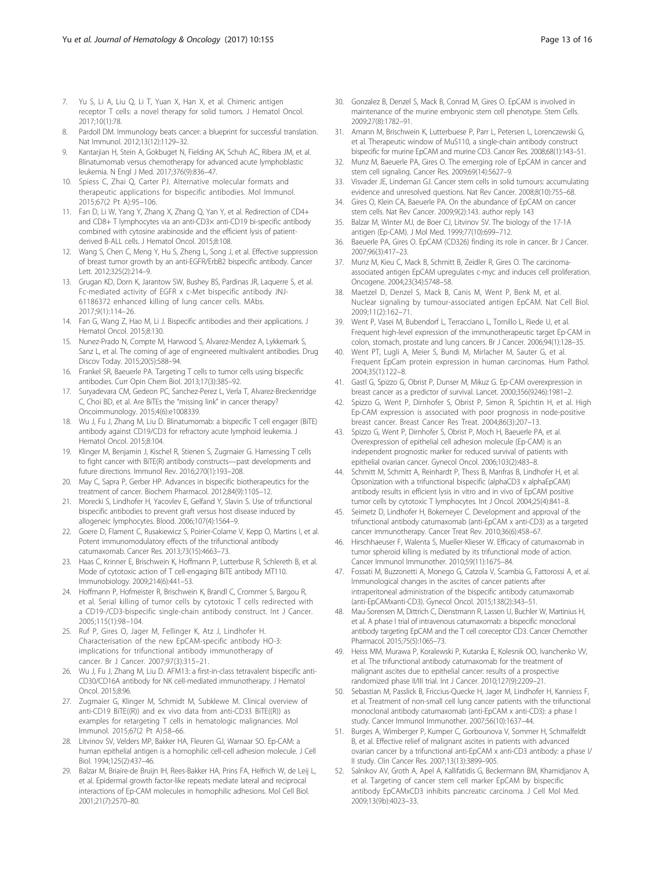- <span id="page-12-0"></span>7. Yu S, Li A, Liu Q, Li T, Yuan X, Han X, et al. Chimeric antigen receptor T cells: a novel therapy for solid tumors. J Hematol Oncol. 2017;10(1):78.
- 8. Pardoll DM. Immunology beats cancer: a blueprint for successful translation. Nat Immunol. 2012;13(12):1129–32.
- 9. Kantarjian H, Stein A, Gokbuget N, Fielding AK, Schuh AC, Ribera JM, et al. Blinatumomab versus chemotherapy for advanced acute lymphoblastic leukemia. N Engl J Med. 2017;376(9):836–47.
- 10. Spiess C, Zhai Q, Carter PJ. Alternative molecular formats and therapeutic applications for bispecific antibodies. Mol Immunol. 2015;67(2 Pt A):95–106.
- 11. Fan D, Li W, Yang Y, Zhang X, Zhang Q, Yan Y, et al. Redirection of CD4+ and CD8+ T lymphocytes via an anti-CD3× anti-CD19 bi-specific antibody combined with cytosine arabinoside and the efficient lysis of patientderived B-ALL cells. J Hematol Oncol. 2015;8:108.
- 12. Wang S, Chen C, Meng Y, Hu S, Zheng L, Song J, et al. Effective suppression of breast tumor growth by an anti-EGFR/ErbB2 bispecific antibody. Cancer Lett. 2012;325(2):214–9.
- 13. Grugan KD, Dorn K, Jarantow SW, Bushey BS, Pardinas JR, Laquerre S, et al. Fc-mediated activity of EGFR x c-Met bispecific antibody JNJ-61186372 enhanced killing of lung cancer cells. MAbs. 2017;9(1):114–26.
- 14. Fan G, Wang Z, Hao M, Li J. Bispecific antibodies and their applications. J Hematol Oncol. 2015;8:130.
- 15. Nunez-Prado N, Compte M, Harwood S, Alvarez-Mendez A, Lykkemark S, Sanz L, et al. The coming of age of engineered multivalent antibodies. Drug Discov Today. 2015;20(5):588–94.
- 16. Frankel SR, Baeuerle PA. Targeting T cells to tumor cells using bispecific antibodies. Curr Opin Chem Biol. 2013;17(3):385–92.
- 17. Suryadevara CM, Gedeon PC, Sanchez-Perez L, Verla T, Alvarez-Breckenridge C, Choi BD, et al. Are BiTEs the "missing link" in cancer therapy? Oncoimmunology. 2015;4(6):e1008339.
- 18. Wu J, Fu J, Zhang M, Liu D. Blinatumomab: a bispecific T cell engager (BiTE) antibody against CD19/CD3 for refractory acute lymphoid leukemia. J Hematol Oncol. 2015;8:104.
- 19. Klinger M, Benjamin J, Kischel R, Stienen S, Zugmaier G. Harnessing T cells to fight cancer with BiTE(R) antibody constructs—past developments and future directions. Immunol Rev. 2016;270(1):193–208.
- 20. May C, Sapra P, Gerber HP. Advances in bispecific biotherapeutics for the treatment of cancer. Biochem Pharmacol. 2012;84(9):1105–12.
- 21. Morecki S, Lindhofer H, Yacovlev E, Gelfand Y, Slavin S. Use of trifunctional bispecific antibodies to prevent graft versus host disease induced by allogeneic lymphocytes. Blood. 2006;107(4):1564–9.
- 22. Goere D, Flament C, Rusakiewicz S, Poirier-Colame V, Kepp O, Martins I, et al. Potent immunomodulatory effects of the trifunctional antibody catumaxomab. Cancer Res. 2013;73(15):4663–73.
- 23. Haas C, Krinner E, Brischwein K, Hoffmann P, Lutterbuse R, Schlereth B, et al. Mode of cytotoxic action of T cell-engaging BiTE antibody MT110. Immunobiology. 2009;214(6):441–53.
- 24. Hoffmann P, Hofmeister R, Brischwein K, Brandl C, Crommer S, Bargou R, et al. Serial killing of tumor cells by cytotoxic T cells redirected with a CD19-/CD3-bispecific single-chain antibody construct. Int J Cancer. 2005;115(1):98–104.
- 25. Ruf P, Gires O, Jager M, Fellinger K, Atz J, Lindhofer H. Characterisation of the new EpCAM-specific antibody HO-3: implications for trifunctional antibody immunotherapy of cancer. Br J Cancer. 2007;97(3):315–21.
- 26. Wu J, Fu J, Zhang M, Liu D. AFM13: a first-in-class tetravalent bispecific anti-CD30/CD16A antibody for NK cell-mediated immunotherapy. J Hematol Oncol. 2015;8:96.
- 27. Zugmaier G, Klinger M, Schmidt M, Subklewe M. Clinical overview of anti-CD19 BiTE((R)) and ex vivo data from anti-CD33 BiTE((R)) as examples for retargeting T cells in hematologic malignancies. Mol Immunol. 2015;67(2 Pt A):58–66.
- 28. Litvinov SV, Velders MP, Bakker HA, Fleuren GJ, Warnaar SO. Ep-CAM: a human epithelial antigen is a homophilic cell-cell adhesion molecule. J Cell Biol. 1994;125(2):437–46.
- 29. Balzar M, Briaire-de Bruijn IH, Rees-Bakker HA, Prins FA, Helfrich W, de Leij L, et al. Epidermal growth factor-like repeats mediate lateral and reciprocal interactions of Ep-CAM molecules in homophilic adhesions. Mol Cell Biol. 2001;21(7):2570–80.
- 30. Gonzalez B, Denzel S, Mack B, Conrad M, Gires O. EpCAM is involved in maintenance of the murine embryonic stem cell phenotype. Stem Cells. 2009;27(8):1782–91.
- 31. Amann M, Brischwein K, Lutterbuese P, Parr L, Petersen L, Lorenczewski G, et al. Therapeutic window of MuS110, a single-chain antibody construct bispecific for murine EpCAM and murine CD3. Cancer Res. 2008;68(1):143–51.
- 32. Munz M, Baeuerle PA, Gires O. The emerging role of EpCAM in cancer and stem cell signaling. Cancer Res. 2009;69(14):5627–9.
- 33. Visvader JE, Lindeman GJ. Cancer stem cells in solid tumours: accumulating evidence and unresolved questions. Nat Rev Cancer. 2008;8(10):755–68.
- 34. Gires O, Klein CA, Baeuerle PA. On the abundance of EpCAM on cancer stem cells. Nat Rev Cancer. 2009;9(2):143. author reply 143
- 35. Balzar M, Winter MJ, de Boer CJ, Litvinov SV. The biology of the 17-1A antigen (Ep-CAM). J Mol Med. 1999;77(10):699–712.
- 36. Baeuerle PA, Gires O. EpCAM (CD326) finding its role in cancer. Br J Cancer. 2007;96(3):417–23.
- 37. Munz M, Kieu C, Mack B, Schmitt B, Zeidler R, Gires O. The carcinomaassociated antigen EpCAM upregulates c-myc and induces cell proliferation. Oncogene. 2004;23(34):5748–58.
- 38. Maetzel D, Denzel S, Mack B, Canis M, Went P, Benk M, et al. Nuclear signaling by tumour-associated antigen EpCAM. Nat Cell Biol. 2009;11(2):162–71.
- 39. Went P, Vasei M, Bubendorf L, Terracciano L, Tornillo L, Riede U, et al. Frequent high-level expression of the immunotherapeutic target Ep-CAM in colon, stomach, prostate and lung cancers. Br J Cancer. 2006;94(1):128–35.
- 40. Went PT, Lugli A, Meier S, Bundi M, Mirlacher M, Sauter G, et al. Frequent EpCam protein expression in human carcinomas. Hum Pathol. 2004;35(1):122–8.
- 41. Gastl G, Spizzo G, Obrist P, Dunser M, Mikuz G. Ep-CAM overexpression in breast cancer as a predictor of survival. Lancet. 2000;356(9246):1981–2.
- 42. Spizzo G, Went P, Dirnhofer S, Obrist P, Simon R, Spichtin H, et al. High Ep-CAM expression is associated with poor prognosis in node-positive breast cancer. Breast Cancer Res Treat. 2004;86(3):207–13.
- 43. Spizzo G, Went P, Dirnhofer S, Obrist P, Moch H, Baeuerle PA, et al. Overexpression of epithelial cell adhesion molecule (Ep-CAM) is an independent prognostic marker for reduced survival of patients with epithelial ovarian cancer. Gynecol Oncol. 2006;103(2):483–8.
- 44. Schmitt M, Schmitt A, Reinhardt P, Thess B, Manfras B, Lindhofer H, et al. Opsonization with a trifunctional bispecific (alphaCD3 x alphaEpCAM) antibody results in efficient lysis in vitro and in vivo of EpCAM positive tumor cells by cytotoxic T lymphocytes. Int J Oncol. 2004;25(4):841–8.
- 45. Seimetz D, Lindhofer H, Bokemeyer C. Development and approval of the trifunctional antibody catumaxomab (anti-EpCAM x anti-CD3) as a targeted cancer immunotherapy. Cancer Treat Rev. 2010;36(6):458–67.
- 46. Hirschhaeuser F, Walenta S, Mueller-Klieser W. Efficacy of catumaxomab in tumor spheroid killing is mediated by its trifunctional mode of action. Cancer Immunol Immunother. 2010;59(11):1675–84.
- 47. Fossati M, Buzzonetti A, Monego G, Catzola V, Scambia G, Fattorossi A, et al. Immunological changes in the ascites of cancer patients after intraperitoneal administration of the bispecific antibody catumaxomab (anti-EpCAMxanti-CD3). Gynecol Oncol. 2015;138(2):343–51.
- 48. Mau-Sorensen M, Dittrich C, Dienstmann R, Lassen U, Buchler W, Martinius H, et al. A phase I trial of intravenous catumaxomab: a bispecific monoclonal antibody targeting EpCAM and the T cell coreceptor CD3. Cancer Chemother Pharmacol. 2015;75(5):1065–73.
- 49. Heiss MM, Murawa P, Koralewski P, Kutarska E, Kolesnik OO, Ivanchenko VV, et al. The trifunctional antibody catumaxomab for the treatment of malignant ascites due to epithelial cancer: results of a prospective randomized phase II/III trial. Int J Cancer. 2010;127(9):2209–21.
- 50. Sebastian M, Passlick B, Friccius-Quecke H, Jager M, Lindhofer H, Kanniess F, et al. Treatment of non-small cell lung cancer patients with the trifunctional monoclonal antibody catumaxomab (anti-EpCAM x anti-CD3): a phase I study. Cancer Immunol Immunother. 2007;56(10):1637–44.
- 51. Burges A, Wimberger P, Kumper C, Gorbounova V, Sommer H, Schmalfeldt B, et al. Effective relief of malignant ascites in patients with advanced ovarian cancer by a trifunctional anti-EpCAM x anti-CD3 antibody: a phase I/ II study. Clin Cancer Res. 2007;13(13):3899–905.
- 52. Salnikov AV, Groth A, Apel A, Kallifatidis G, Beckermann BM, Khamidjanov A, et al. Targeting of cancer stem cell marker EpCAM by bispecific antibody EpCAMxCD3 inhibits pancreatic carcinoma. J Cell Mol Med. 2009;13(9b):4023–33.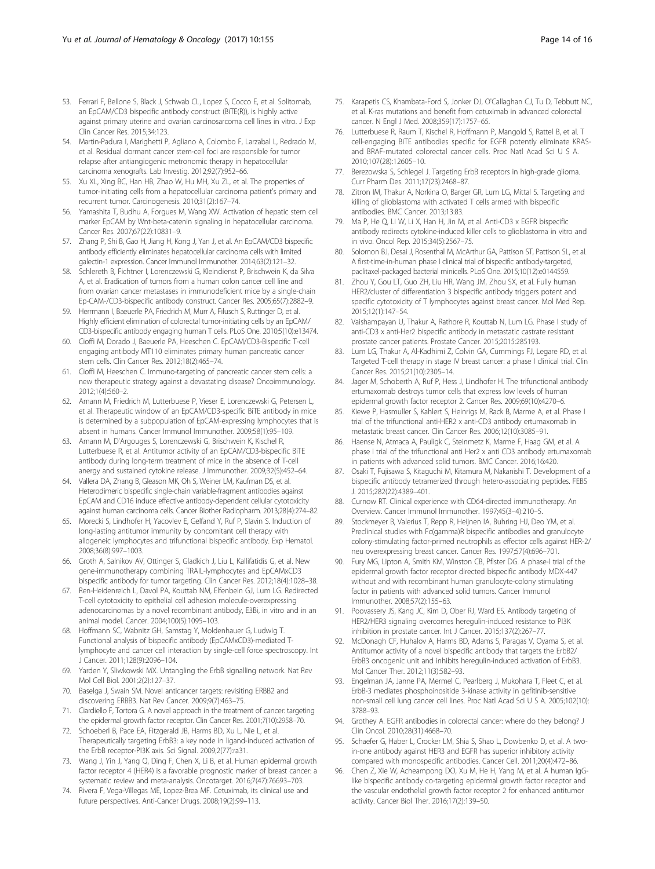- <span id="page-13-0"></span>53. Ferrari F, Bellone S, Black J, Schwab CL, Lopez S, Cocco E, et al. Solitomab, an EpCAM/CD3 bispecific antibody construct (BiTE(R)), is highly active against primary uterine and ovarian carcinosarcoma cell lines in vitro. J Exp Clin Cancer Res. 2015;34:123.
- 54. Martin-Padura I, Marighetti P, Agliano A, Colombo F, Larzabal L, Redrado M, et al. Residual dormant cancer stem-cell foci are responsible for tumor relapse after antiangiogenic metronomic therapy in hepatocellular carcinoma xenografts. Lab Investig. 2012;92(7):952–66.
- 55. Xu XL, Xing BC, Han HB, Zhao W, Hu MH, Xu ZL, et al. The properties of tumor-initiating cells from a hepatocellular carcinoma patient's primary and recurrent tumor. Carcinogenesis. 2010;31(2):167–74.
- 56. Yamashita T, Budhu A, Forgues M, Wang XW. Activation of hepatic stem cell marker EpCAM by Wnt-beta-catenin signaling in hepatocellular carcinoma. Cancer Res. 2007;67(22):10831–9.
- 57. Zhang P, Shi B, Gao H, Jiang H, Kong J, Yan J, et al. An EpCAM/CD3 bispecific antibody efficiently eliminates hepatocellular carcinoma cells with limited galectin-1 expression. Cancer Immunol Immunother. 2014;63(2):121–32.
- 58. Schlereth B, Fichtner I, Lorenczewski G, Kleindienst P, Brischwein K, da Silva A, et al. Eradication of tumors from a human colon cancer cell line and from ovarian cancer metastases in immunodeficient mice by a single-chain Ep-CAM-/CD3-bispecific antibody construct. Cancer Res. 2005;65(7):2882–9.
- 59. Herrmann I, Baeuerle PA, Friedrich M, Murr A, Filusch S, Ruttinger D, et al. Highly efficient elimination of colorectal tumor-initiating cells by an EpCAM/ CD3-bispecific antibody engaging human T cells. PLoS One. 2010;5(10):e13474.
- 60. Cioffi M, Dorado J, Baeuerle PA, Heeschen C. EpCAM/CD3-Bispecific T-cell engaging antibody MT110 eliminates primary human pancreatic cancer stem cells. Clin Cancer Res. 2012;18(2):465–74.
- 61. Cioffi M, Heeschen C. Immuno-targeting of pancreatic cancer stem cells: a new therapeutic strategy against a devastating disease? Oncoimmunology. 2012;1(4):560–2.
- 62. Amann M, Friedrich M, Lutterbuese P, Vieser E, Lorenczewski G, Petersen L, et al. Therapeutic window of an EpCAM/CD3-specific BiTE antibody in mice is determined by a subpopulation of EpCAM-expressing lymphocytes that is absent in humans. Cancer Immunol Immunother. 2009;58(1):95–109.
- 63. Amann M, D'Argouges S, Lorenczewski G, Brischwein K, Kischel R, Lutterbuese R, et al. Antitumor activity of an EpCAM/CD3-bispecific BiTE antibody during long-term treatment of mice in the absence of T-cell anergy and sustained cytokine release. J Immunother. 2009;32(5):452–64.
- 64. Vallera DA, Zhang B, Gleason MK, Oh S, Weiner LM, Kaufman DS, et al. Heterodimeric bispecific single-chain variable-fragment antibodies against EpCAM and CD16 induce effective antibody-dependent cellular cytotoxicity against human carcinoma cells. Cancer Biother Radiopharm. 2013;28(4):274–82.
- 65. Morecki S, Lindhofer H, Yacovlev E, Gelfand Y, Ruf P, Slavin S. Induction of long-lasting antitumor immunity by concomitant cell therapy with allogeneic lymphocytes and trifunctional bispecific antibody. Exp Hematol. 2008;36(8):997–1003.
- 66. Groth A, Salnikov AV, Ottinger S, Gladkich J, Liu L, Kallifatidis G, et al. New gene-immunotherapy combining TRAIL-lymphocytes and EpCAMxCD3 bispecific antibody for tumor targeting. Clin Cancer Res. 2012;18(4):1028–38.
- 67. Ren-Heidenreich L, Davol PA, Kouttab NM, Elfenbein GJ, Lum LG. Redirected T-cell cytotoxicity to epithelial cell adhesion molecule-overexpressing adenocarcinomas by a novel recombinant antibody, E3Bi, in vitro and in an animal model. Cancer. 2004;100(5):1095–103.
- 68. Hoffmann SC, Wabnitz GH, Samstag Y, Moldenhauer G, Ludwig T. Functional analysis of bispecific antibody (EpCAMxCD3)-mediated Tlymphocyte and cancer cell interaction by single-cell force spectroscopy. Int J Cancer. 2011;128(9):2096–104.
- 69. Yarden Y, Sliwkowski MX. Untangling the ErbB signalling network. Nat Rev Mol Cell Biol. 2001;2(2):127–37.
- 70. Baselga J, Swain SM. Novel anticancer targets: revisiting ERBB2 and discovering ERBB3. Nat Rev Cancer. 2009;9(7):463–75.
- 71. Ciardiello F, Tortora G. A novel approach in the treatment of cancer: targeting the epidermal growth factor receptor. Clin Cancer Res. 2001;7(10):2958–70.
- 72. Schoeberl B, Pace EA, Fitzgerald JB, Harms BD, Xu L, Nie L, et al. Therapeutically targeting ErbB3: a key node in ligand-induced activation of the ErbB receptor-PI3K axis. Sci Signal. 2009;2(77):ra31.
- 73. Wang J, Yin J, Yang Q, Ding F, Chen X, Li B, et al. Human epidermal growth factor receptor 4 (HER4) is a favorable prognostic marker of breast cancer: a systematic review and meta-analysis. Oncotarget. 2016;7(47):76693–703.
- 74. Rivera F, Vega-Villegas ME, Lopez-Brea MF. Cetuximab, its clinical use and future perspectives. Anti-Cancer Drugs. 2008;19(2):99–113.
- 75. Karapetis CS, Khambata-Ford S, Jonker DJ, O'Callaghan CJ, Tu D, Tebbutt NC, et al. K-ras mutations and benefit from cetuximab in advanced colorectal cancer. N Engl J Med. 2008;359(17):1757–65.
- 76. Lutterbuese R, Raum T, Kischel R, Hoffmann P, Mangold S, Rattel B, et al. T cell-engaging BiTE antibodies specific for EGFR potently eliminate KRASand BRAF-mutated colorectal cancer cells. Proc Natl Acad Sci U S A. 2010;107(28):12605–10.
- 77. Berezowska S, Schlegel J. Targeting ErbB receptors in high-grade glioma. Curr Pharm Des. 2011;17(23):2468–87.
- 78. Zitron IM, Thakur A, Norkina O, Barger GR, Lum LG, Mittal S. Targeting and killing of glioblastoma with activated T cells armed with bispecific antibodies. BMC Cancer. 2013;13:83.
- 79. Ma P, He Q, Li W, Li X, Han H, Jin M, et al. Anti-CD3 x EGFR bispecific antibody redirects cytokine-induced killer cells to glioblastoma in vitro and in vivo. Oncol Rep. 2015;34(5):2567–75.
- 80. Solomon BJ, Desai J, Rosenthal M, McArthur GA, Pattison ST, Pattison SL, et al. A first-time-in-human phase I clinical trial of bispecific antibody-targeted, paclitaxel-packaged bacterial minicells. PLoS One. 2015;10(12):e0144559.
- 81. Zhou Y, Gou LT, Guo ZH, Liu HR, Wang JM, Zhou SX, et al. Fully human HER2/cluster of differentiation 3 bispecific antibody triggers potent and specific cytotoxicity of T lymphocytes against breast cancer. Mol Med Rep. 2015;12(1):147–54.
- 82. Vaishampayan U, Thakur A, Rathore R, Kouttab N, Lum LG. Phase I study of anti-CD3 x anti-Her2 bispecific antibody in metastatic castrate resistant prostate cancer patients. Prostate Cancer. 2015;2015:285193.
- 83. Lum LG, Thakur A, Al-Kadhimi Z, Colvin GA, Cummings FJ, Legare RD, et al. Targeted T-cell therapy in stage IV breast cancer: a phase I clinical trial. Clin Cancer Res. 2015;21(10):2305–14.
- 84. Jager M, Schoberth A, Ruf P, Hess J, Lindhofer H. The trifunctional antibody ertumaxomab destroys tumor cells that express low levels of human epidermal growth factor receptor 2. Cancer Res. 2009;69(10):4270–6.
- 85. Kiewe P, Hasmuller S, Kahlert S, Heinrigs M, Rack B, Marme A, et al. Phase I trial of the trifunctional anti-HER2 x anti-CD3 antibody ertumaxomab in metastatic breast cancer. Clin Cancer Res. 2006;12(10):3085–91.
- 86. Haense N, Atmaca A, Pauligk C, Steinmetz K, Marme F, Haag GM, et al. A phase I trial of the trifunctional anti Her2 x anti CD3 antibody ertumaxomab in patients with advanced solid tumors. BMC Cancer. 2016;16:420.
- 87. Osaki T, Fujisawa S, Kitaguchi M, Kitamura M, Nakanishi T. Development of a bispecific antibody tetramerized through hetero-associating peptides. FEBS J. 2015;282(22):4389–401.
- 88. Curnow RT. Clinical experience with CD64-directed immunotherapy. An Overview. Cancer Immunol Immunother. 1997;45(3–4):210–5.
- 89. Stockmeyer B, Valerius T, Repp R, Heijnen IA, Buhring HJ, Deo YM, et al. Preclinical studies with Fc(gamma)R bispecific antibodies and granulocyte colony-stimulating factor-primed neutrophils as effector cells against HER-2/ neu overexpressing breast cancer. Cancer Res. 1997;57(4):696–701.
- 90. Fury MG, Lipton A, Smith KM, Winston CB, Pfister DG. A phase-I trial of the epidermal growth factor receptor directed bispecific antibody MDX-447 without and with recombinant human granulocyte-colony stimulating factor in patients with advanced solid tumors. Cancer Immunol Immunother. 2008;57(2):155–63.
- 91. Poovassery JS, Kang JC, Kim D, Ober RJ, Ward ES. Antibody targeting of HER2/HER3 signaling overcomes heregulin-induced resistance to PI3K inhibition in prostate cancer. Int J Cancer. 2015;137(2):267–77.
- 92. McDonagh CF, Huhalov A, Harms BD, Adams S, Paragas V, Oyama S, et al. Antitumor activity of a novel bispecific antibody that targets the ErbB2/ ErbB3 oncogenic unit and inhibits heregulin-induced activation of ErbB3. Mol Cancer Ther. 2012;11(3):582–93.
- 93. Engelman JA, Janne PA, Mermel C, Pearlberg J, Mukohara T, Fleet C, et al. ErbB-3 mediates phosphoinositide 3-kinase activity in gefitinib-sensitive non-small cell lung cancer cell lines. Proc Natl Acad Sci U S A. 2005;102(10): 3788–93.
- 94. Grothey A. EGFR antibodies in colorectal cancer: where do they belong? J Clin Oncol. 2010;28(31):4668–70.
- Schaefer G, Haber L, Crocker LM, Shia S, Shao L, Dowbenko D, et al. A twoin-one antibody against HER3 and EGFR has superior inhibitory activity compared with monospecific antibodies. Cancer Cell. 2011;20(4):472–86.
- 96. Chen Z, Xie W, Acheampong DO, Xu M, He H, Yang M, et al. A human IgGlike bispecific antibody co-targeting epidermal growth factor receptor and the vascular endothelial growth factor receptor 2 for enhanced antitumor activity. Cancer Biol Ther. 2016;17(2):139–50.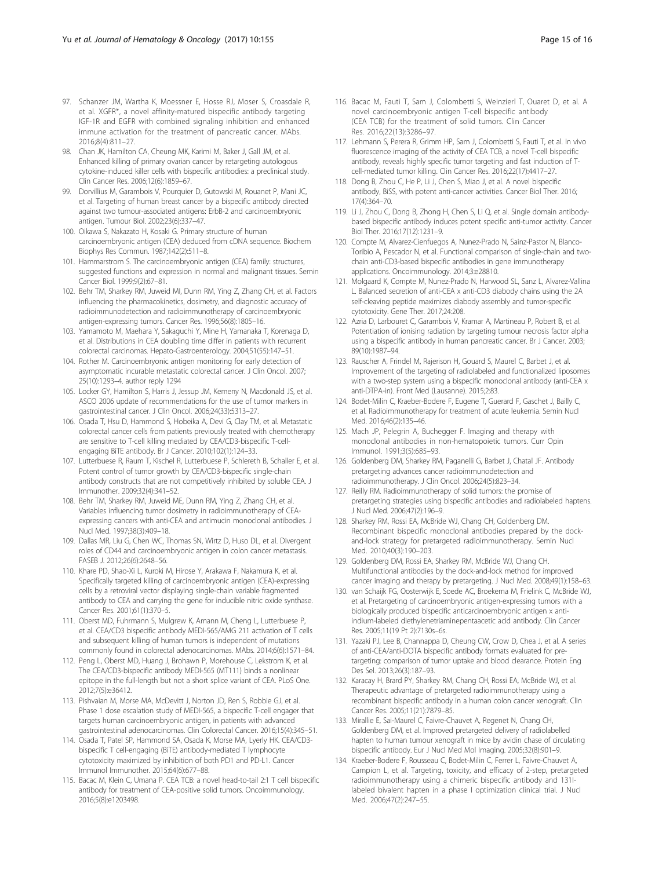- <span id="page-14-0"></span>97. Schanzer JM, Wartha K, Moessner E, Hosse RJ, Moser S, Croasdale R, et al. XGFR\*, a novel affinity-matured bispecific antibody targeting IGF-1R and EGFR with combined signaling inhibition and enhanced immune activation for the treatment of pancreatic cancer. MAbs. 2016;8(4):811–27.
- 98. Chan JK, Hamilton CA, Cheung MK, Karimi M, Baker J, Gall JM, et al. Enhanced killing of primary ovarian cancer by retargeting autologous cytokine-induced killer cells with bispecific antibodies: a preclinical study. Clin Cancer Res. 2006;12(6):1859–67.
- 99. Dorvillius M, Garambois V, Pourquier D, Gutowski M, Rouanet P, Mani JC, et al. Targeting of human breast cancer by a bispecific antibody directed against two tumour-associated antigens: ErbB-2 and carcinoembryonic antigen. Tumour Biol. 2002;23(6):337–47.
- 100. Oikawa S, Nakazato H, Kosaki G. Primary structure of human carcinoembryonic antigen (CEA) deduced from cDNA sequence. Biochem Biophys Res Commun. 1987;142(2):511–8.
- 101. Hammarstrom S. The carcinoembryonic antigen (CEA) family: structures, suggested functions and expression in normal and malignant tissues. Semin Cancer Biol. 1999;9(2):67–81.
- 102. Behr TM, Sharkey RM, Juweid MI, Dunn RM, Ying Z, Zhang CH, et al. Factors influencing the pharmacokinetics, dosimetry, and diagnostic accuracy of radioimmunodetection and radioimmunotherapy of carcinoembryonic antigen-expressing tumors. Cancer Res. 1996;56(8):1805–16.
- 103. Yamamoto M, Maehara Y, Sakaguchi Y, Mine H, Yamanaka T, Korenaga D, et al. Distributions in CEA doubling time differ in patients with recurrent colorectal carcinomas. Hepato-Gastroenterology. 2004;51(55):147–51.
- 104. Rother M. Carcinoembryonic antigen monitoring for early detection of asymptomatic incurable metastatic colorectal cancer. J Clin Oncol. 2007; 25(10):1293–4. author reply 1294
- 105. Locker GY, Hamilton S, Harris J, Jessup JM, Kemeny N, Macdonald JS, et al. ASCO 2006 update of recommendations for the use of tumor markers in gastrointestinal cancer. J Clin Oncol. 2006;24(33):5313–27.
- 106. Osada T, Hsu D, Hammond S, Hobeika A, Devi G, Clay TM, et al. Metastatic colorectal cancer cells from patients previously treated with chemotherapy are sensitive to T-cell killing mediated by CEA/CD3-bispecific T-cellengaging BiTE antibody. Br J Cancer. 2010;102(1):124–33.
- 107. Lutterbuese R, Raum T, Kischel R, Lutterbuese P, Schlereth B, Schaller E, et al. Potent control of tumor growth by CEA/CD3-bispecific single-chain antibody constructs that are not competitively inhibited by soluble CEA. J Immunother. 2009;32(4):341–52.
- 108. Behr TM, Sharkey RM, Juweid ME, Dunn RM, Ying Z, Zhang CH, et al. Variables influencing tumor dosimetry in radioimmunotherapy of CEAexpressing cancers with anti-CEA and antimucin monoclonal antibodies. J Nucl Med. 1997;38(3):409–18.
- 109. Dallas MR, Liu G, Chen WC, Thomas SN, Wirtz D, Huso DL, et al. Divergent roles of CD44 and carcinoembryonic antigen in colon cancer metastasis. FASEB J. 2012;26(6):2648–56.
- 110. Khare PD, Shao-Xi L, Kuroki M, Hirose Y, Arakawa F, Nakamura K, et al. Specifically targeted killing of carcinoembryonic antigen (CEA)-expressing cells by a retroviral vector displaying single-chain variable fragmented antibody to CEA and carrying the gene for inducible nitric oxide synthase. Cancer Res. 2001;61(1):370–5.
- 111. Oberst MD, Fuhrmann S, Mulgrew K, Amann M, Cheng L, Lutterbuese P, et al. CEA/CD3 bispecific antibody MEDI-565/AMG 211 activation of T cells and subsequent killing of human tumors is independent of mutations commonly found in colorectal adenocarcinomas. MAbs. 2014;6(6):1571–84.
- 112. Peng L, Oberst MD, Huang J, Brohawn P, Morehouse C, Lekstrom K, et al. The CEA/CD3-bispecific antibody MEDI-565 (MT111) binds a nonlinear epitope in the full-length but not a short splice variant of CEA. PLoS One. 2012;7(5):e36412.
- 113. Pishvaian M, Morse MA, McDevitt J, Norton JD, Ren S, Robbie GJ, et al. Phase 1 dose escalation study of MEDI-565, a bispecific T-cell engager that targets human carcinoembryonic antigen, in patients with advanced gastrointestinal adenocarcinomas. Clin Colorectal Cancer. 2016;15(4):345–51.
- 114. Osada T, Patel SP, Hammond SA, Osada K, Morse MA, Lyerly HK. CEA/CD3 bispecific T cell-engaging (BiTE) antibody-mediated T lymphocyte cytotoxicity maximized by inhibition of both PD1 and PD-L1. Cancer Immunol Immunother. 2015;64(6):677–88.
- 115. Bacac M, Klein C, Umana P. CEA TCB: a novel head-to-tail 2:1 T cell bispecific antibody for treatment of CEA-positive solid tumors. Oncoimmunology. 2016;5(8):e1203498.
- 116. Bacac M, Fauti T, Sam J, Colombetti S, Weinzierl T, Ouaret D, et al. A novel carcinoembryonic antigen T-cell bispecific antibody (CEA TCB) for the treatment of solid tumors. Clin Cancer Res. 2016;22(13):3286–97.
- 117. Lehmann S, Perera R, Grimm HP, Sam J, Colombetti S, Fauti T, et al. In vivo fluorescence imaging of the activity of CEA TCB, a novel T-cell bispecific antibody, reveals highly specific tumor targeting and fast induction of Tcell-mediated tumor killing. Clin Cancer Res. 2016;22(17):4417–27.
- 118. Dong B, Zhou C, He P, Li J, Chen S, Miao J, et al. A novel bispecific antibody, BiSS, with potent anti-cancer activities. Cancer Biol Ther. 2016; 17(4):364–70.
- 119. Li J, Zhou C, Dong B, Zhong H, Chen S, Li Q, et al. Single domain antibodybased bispecific antibody induces potent specific anti-tumor activity. Cancer Biol Ther. 2016;17(12):1231–9.
- 120. Compte M, Alvarez-Cienfuegos A, Nunez-Prado N, Sainz-Pastor N, Blanco-Toribio A, Pescador N, et al. Functional comparison of single-chain and twochain anti-CD3-based bispecific antibodies in gene immunotherapy applications. Oncoimmunology. 2014;3:e28810.
- 121. Molgaard K, Compte M, Nunez-Prado N, Harwood SL, Sanz L, Alvarez-Vallina L. Balanced secretion of anti-CEA x anti-CD3 diabody chains using the 2A self-cleaving peptide maximizes diabody assembly and tumor-specific cytotoxicity. Gene Ther. 2017;24:208.
- 122. Azria D, Larbouret C, Garambois V, Kramar A, Martineau P, Robert B, et al. Potentiation of ionising radiation by targeting tumour necrosis factor alpha using a bispecific antibody in human pancreatic cancer. Br J Cancer. 2003; 89(10):1987–94.
- 123. Rauscher A, Frindel M, Rajerison H, Gouard S, Maurel C, Barbet J, et al. Improvement of the targeting of radiolabeled and functionalized liposomes with a two-step system using a bispecific monoclonal antibody (anti-CEA x anti-DTPA-in). Front Med (Lausanne). 2015;2:83.
- 124. Bodet-Milin C, Kraeber-Bodere F, Eugene T, Guerard F, Gaschet J, Bailly C, et al. Radioimmunotherapy for treatment of acute leukemia. Semin Nucl Med. 2016;46(2):135–46.
- 125. Mach JP, Pelegrin A, Buchegger F. Imaging and therapy with monoclonal antibodies in non-hematopoietic tumors. Curr Opin Immunol. 1991;3(5):685–93.
- 126. Goldenberg DM, Sharkey RM, Paganelli G, Barbet J, Chatal JF. Antibody pretargeting advances cancer radioimmunodetection and radioimmunotherapy. J Clin Oncol. 2006;24(5):823–34.
- 127. Reilly RM. Radioimmunotherapy of solid tumors: the promise of pretargeting strategies using bispecific antibodies and radiolabeled haptens. J Nucl Med. 2006;47(2):196–9.
- 128. Sharkey RM, Rossi EA, McBride WJ, Chang CH, Goldenberg DM. Recombinant bispecific monoclonal antibodies prepared by the dockand-lock strategy for pretargeted radioimmunotherapy. Semin Nucl Med. 2010;40(3):190–203.
- 129. Goldenberg DM, Rossi EA, Sharkey RM, McBride WJ, Chang CH. Multifunctional antibodies by the dock-and-lock method for improved cancer imaging and therapy by pretargeting. J Nucl Med. 2008;49(1):158–63.
- 130. van Schaijk FG, Oosterwijk E, Soede AC, Broekema M, Frielink C, McBride WJ, et al. Pretargeting of carcinoembryonic antigen-expressing tumors with a biologically produced bispecific anticarcinoembryonic antigen x antiindium-labeled diethylenetriaminepentaacetic acid antibody. Clin Cancer Res. 2005;11(19 Pt 2):7130s–6s.
- 131. Yazaki PJ, Lee B, Channappa D, Cheung CW, Crow D, Chea J, et al. A series of anti-CEA/anti-DOTA bispecific antibody formats evaluated for pretargeting: comparison of tumor uptake and blood clearance. Protein Eng Des Sel. 2013;26(3):187–93.
- 132. Karacay H, Brard PY, Sharkey RM, Chang CH, Rossi EA, McBride WJ, et al. Therapeutic advantage of pretargeted radioimmunotherapy using a recombinant bispecific antibody in a human colon cancer xenograft. Clin Cancer Res. 2005;11(21):7879–85.
- 133. Mirallie E, Sai-Maurel C, Faivre-Chauvet A, Regenet N, Chang CH, Goldenberg DM, et al. Improved pretargeted delivery of radiolabelled hapten to human tumour xenograft in mice by avidin chase of circulating bispecific antibody. Eur J Nucl Med Mol Imaging. 2005;32(8):901–9.
- 134. Kraeber-Bodere F, Rousseau C, Bodet-Milin C, Ferrer L, Faivre-Chauvet A, Campion L, et al. Targeting, toxicity, and efficacy of 2-step, pretargeted radioimmunotherapy using a chimeric bispecific antibody and 131Ilabeled bivalent hapten in a phase I optimization clinical trial. J Nucl Med. 2006;47(2):247–55.